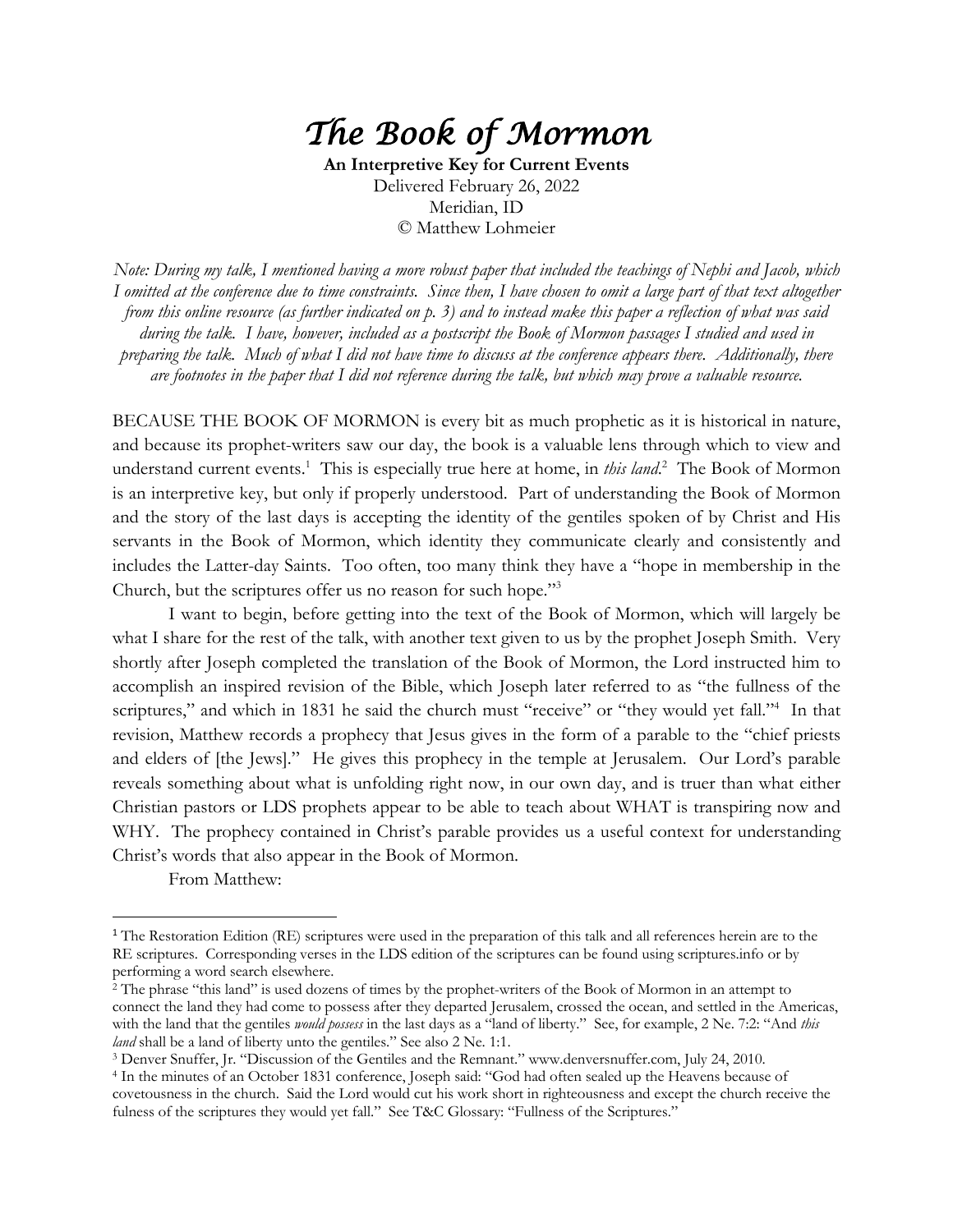## *The Book of Mormon*

**An Interpretive Key for Current Events** Delivered February 26, 2022 Meridian, ID © Matthew Lohmeier

*Note: During my talk, I mentioned having a more robust paper that included the teachings of Nephi and Jacob, which I omitted at the conference due to time constraints. Since then, I have chosen to omit a large part of that text altogether from this online resource (as further indicated on p. 3) and to instead make this paper a reflection of what was said during the talk. I have, however, included as a postscript the Book of Mormon passages I studied and used in preparing the talk. Much of what I did not have time to discuss at the conference appears there. Additionally, there are footnotes in the paper that I did not reference during the talk, but which may prove a valuable resource.* 

BECAUSE THE BOOK OF MORMON is every bit as much prophetic as it is historical in nature, and because its prophet-writers saw our day, the book is a valuable lens through which to view and understand current events.<sup>1</sup> This is especially true here at home, in *this land*.<sup>2</sup> The Book of Mormon is an interpretive key, but only if properly understood. Part of understanding the Book of Mormon and the story of the last days is accepting the identity of the gentiles spoken of by Christ and His servants in the Book of Mormon, which identity they communicate clearly and consistently and includes the Latter-day Saints. Too often, too many think they have a "hope in membership in the Church, but the scriptures offer us no reason for such hope."3

I want to begin, before getting into the text of the Book of Mormon, which will largely be what I share for the rest of the talk, with another text given to us by the prophet Joseph Smith. Very shortly after Joseph completed the translation of the Book of Mormon, the Lord instructed him to accomplish an inspired revision of the Bible, which Joseph later referred to as "the fullness of the scriptures," and which in 1831 he said the church must "receive" or "they would yet fall."<sup>4</sup> In that revision, Matthew records a prophecy that Jesus gives in the form of a parable to the "chief priests and elders of [the Jews]." He gives this prophecy in the temple at Jerusalem. Our Lord's parable reveals something about what is unfolding right now, in our own day, and is truer than what either Christian pastors or LDS prophets appear to be able to teach about WHAT is transpiring now and WHY. The prophecy contained in Christ's parable provides us a useful context for understanding Christ's words that also appear in the Book of Mormon.

From Matthew:

<sup>&</sup>lt;sup>1</sup> The Restoration Edition (RE) scriptures were used in the preparation of this talk and all references herein are to the RE scriptures. Corresponding verses in the LDS edition of the scriptures can be found using scriptures.info or by performing a word search elsewhere.

<sup>&</sup>lt;sup>2</sup> The phrase "this land" is used dozens of times by the prophet-writers of the Book of Mormon in an attempt to connect the land they had come to possess after they departed Jerusalem, crossed the ocean, and settled in the Americas, with the land that the gentiles *would possess* in the last days as a "land of liberty." See, for example, 2 Ne. 7:2: "And *this land* shall be a land of liberty unto the gentiles." See also 2 Ne. 1:1.

<sup>3</sup> Denver Snuffer, Jr. "Discussion of the Gentiles and the Remnant." www.denversnuffer.com, July 24, 2010.

<sup>4</sup> In the minutes of an October 1831 conference, Joseph said: "God had often sealed up the Heavens because of covetousness in the church. Said the Lord would cut his work short in righteousness and except the church receive the fulness of the scriptures they would yet fall." See T&C Glossary: "Fullness of the Scriptures."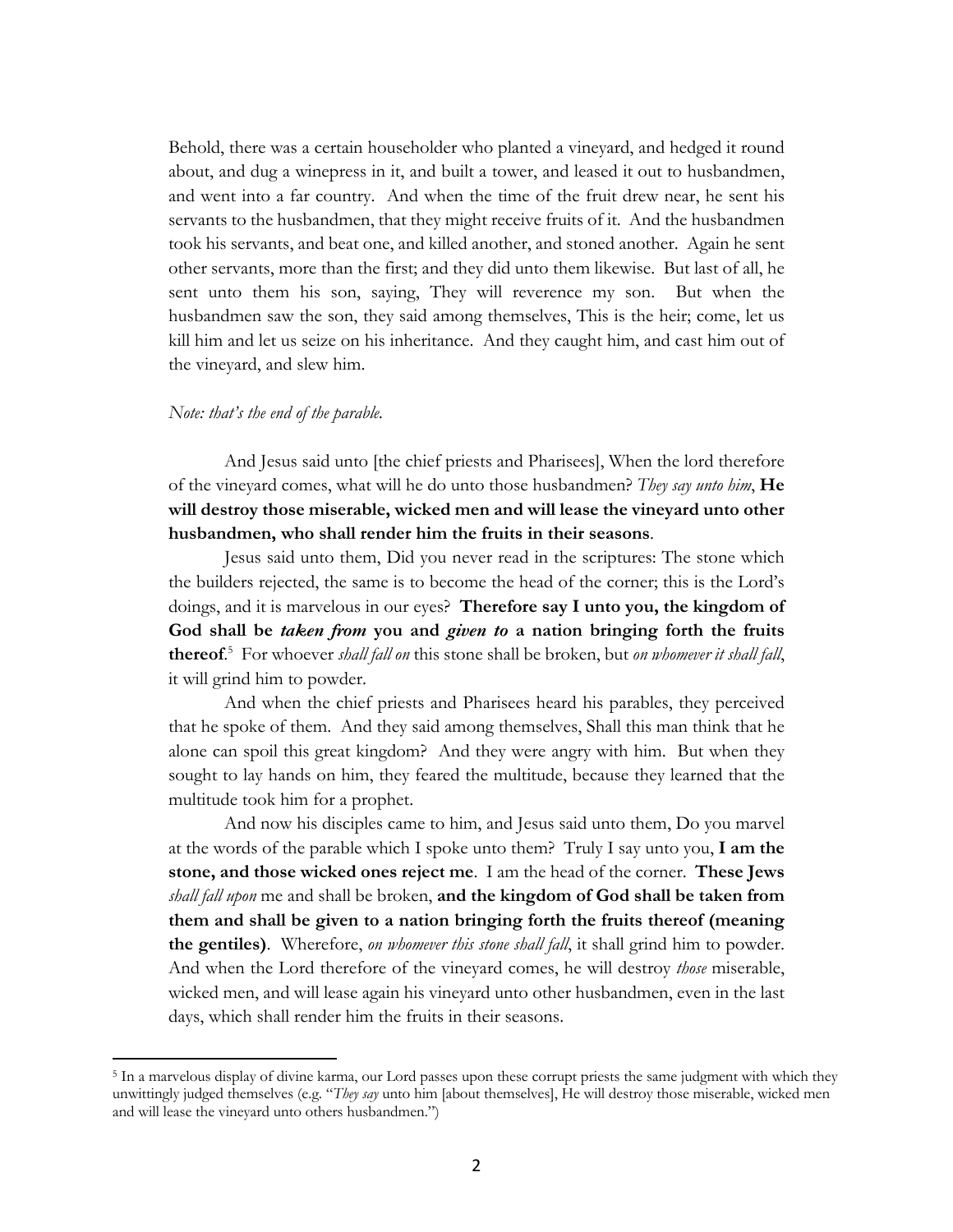Behold, there was a certain householder who planted a vineyard, and hedged it round about, and dug a winepress in it, and built a tower, and leased it out to husbandmen, and went into a far country. And when the time of the fruit drew near, he sent his servants to the husbandmen, that they might receive fruits of it. And the husbandmen took his servants, and beat one, and killed another, and stoned another. Again he sent other servants, more than the first; and they did unto them likewise. But last of all, he sent unto them his son, saying, They will reverence my son. But when the husbandmen saw the son, they said among themselves, This is the heir; come, let us kill him and let us seize on his inheritance. And they caught him, and cast him out of the vineyard, and slew him.

#### *Note: that's the end of the parable.*

And Jesus said unto [the chief priests and Pharisees], When the lord therefore of the vineyard comes, what will he do unto those husbandmen? *They say unto him*, **He will destroy those miserable, wicked men and will lease the vineyard unto other husbandmen, who shall render him the fruits in their seasons**.

Jesus said unto them, Did you never read in the scriptures: The stone which the builders rejected, the same is to become the head of the corner; this is the Lord's doings, and it is marvelous in our eyes? **Therefore say I unto you, the kingdom of God shall be** *taken from* **you and** *given to* **a nation bringing forth the fruits thereof**. 5 For whoever *shall fall on* this stone shall be broken, but *on whomever it shall fall*, it will grind him to powder.

And when the chief priests and Pharisees heard his parables, they perceived that he spoke of them. And they said among themselves, Shall this man think that he alone can spoil this great kingdom? And they were angry with him. But when they sought to lay hands on him, they feared the multitude, because they learned that the multitude took him for a prophet.

And now his disciples came to him, and Jesus said unto them, Do you marvel at the words of the parable which I spoke unto them? Truly I say unto you, **I am the stone, and those wicked ones reject me**. I am the head of the corner. **These Jews** *shall fall upon* me and shall be broken, **and the kingdom of God shall be taken from them and shall be given to a nation bringing forth the fruits thereof (meaning the gentiles)**. Wherefore, *on whomever this stone shall fall*, it shall grind him to powder. And when the Lord therefore of the vineyard comes, he will destroy *those* miserable, wicked men, and will lease again his vineyard unto other husbandmen, even in the last days, which shall render him the fruits in their seasons.

<sup>5</sup> In a marvelous display of divine karma, our Lord passes upon these corrupt priests the same judgment with which they unwittingly judged themselves (e.g. "*They say* unto him [about themselves], He will destroy those miserable, wicked men and will lease the vineyard unto others husbandmen.")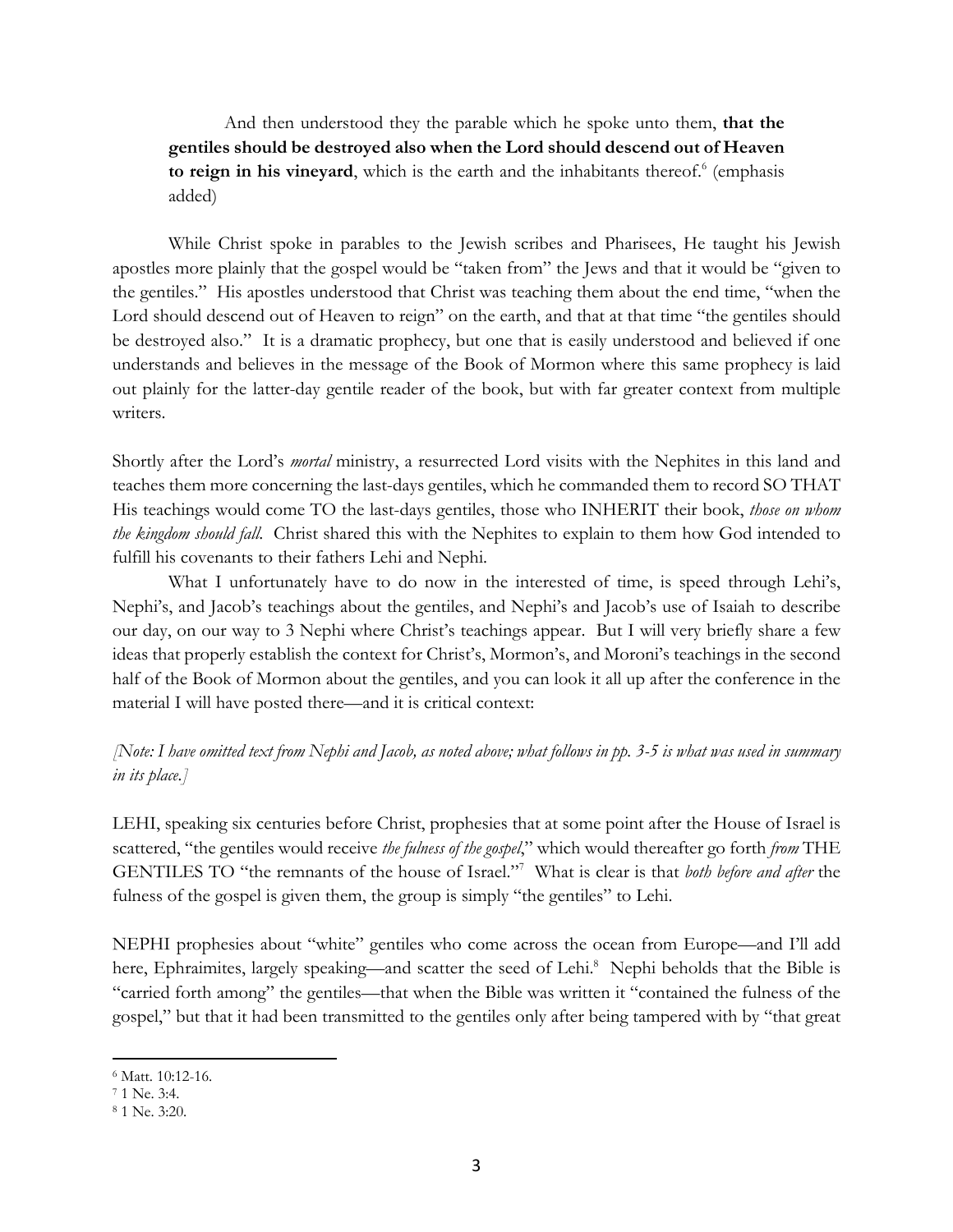And then understood they the parable which he spoke unto them, **that the gentiles should be destroyed also when the Lord should descend out of Heaven to reign in his vineyard**, which is the earth and the inhabitants thereof.<sup>6</sup> (emphasis added)

While Christ spoke in parables to the Jewish scribes and Pharisees, He taught his Jewish apostles more plainly that the gospel would be "taken from" the Jews and that it would be "given to the gentiles." His apostles understood that Christ was teaching them about the end time, "when the Lord should descend out of Heaven to reign" on the earth, and that at that time "the gentiles should be destroyed also." It is a dramatic prophecy, but one that is easily understood and believed if one understands and believes in the message of the Book of Mormon where this same prophecy is laid out plainly for the latter-day gentile reader of the book, but with far greater context from multiple writers.

Shortly after the Lord's *mortal* ministry, a resurrected Lord visits with the Nephites in this land and teaches them more concerning the last-days gentiles, which he commanded them to record SO THAT His teachings would come TO the last-days gentiles, those who INHERIT their book, *those on whom the kingdom should fall*. Christ shared this with the Nephites to explain to them how God intended to fulfill his covenants to their fathers Lehi and Nephi.

What I unfortunately have to do now in the interested of time, is speed through Lehi's, Nephi's, and Jacob's teachings about the gentiles, and Nephi's and Jacob's use of Isaiah to describe our day, on our way to 3 Nephi where Christ's teachings appear. But I will very briefly share a few ideas that properly establish the context for Christ's, Mormon's, and Moroni's teachings in the second half of the Book of Mormon about the gentiles, and you can look it all up after the conference in the material I will have posted there—and it is critical context:

*[Note: I have omitted text from Nephi and Jacob, as noted above; what follows in pp. 3-5 is what was used in summary in its place.]*

LEHI, speaking six centuries before Christ, prophesies that at some point after the House of Israel is scattered, "the gentiles would receive *the fulness of the gospel*," which would thereafter go forth *from* THE GENTILES TO "the remnants of the house of Israel."7 What is clear is that *both before and after* the fulness of the gospel is given them, the group is simply "the gentiles" to Lehi.

NEPHI prophesies about "white" gentiles who come across the ocean from Europe—and I'll add here, Ephraimites, largely speaking—and scatter the seed of Lehi.<sup>8</sup> Nephi beholds that the Bible is "carried forth among" the gentiles—that when the Bible was written it "contained the fulness of the gospel," but that it had been transmitted to the gentiles only after being tampered with by "that great

<sup>6</sup> Matt. 10:12-16.

<sup>7</sup> 1 Ne. 3:4.

<sup>8</sup> 1 Ne. 3:20.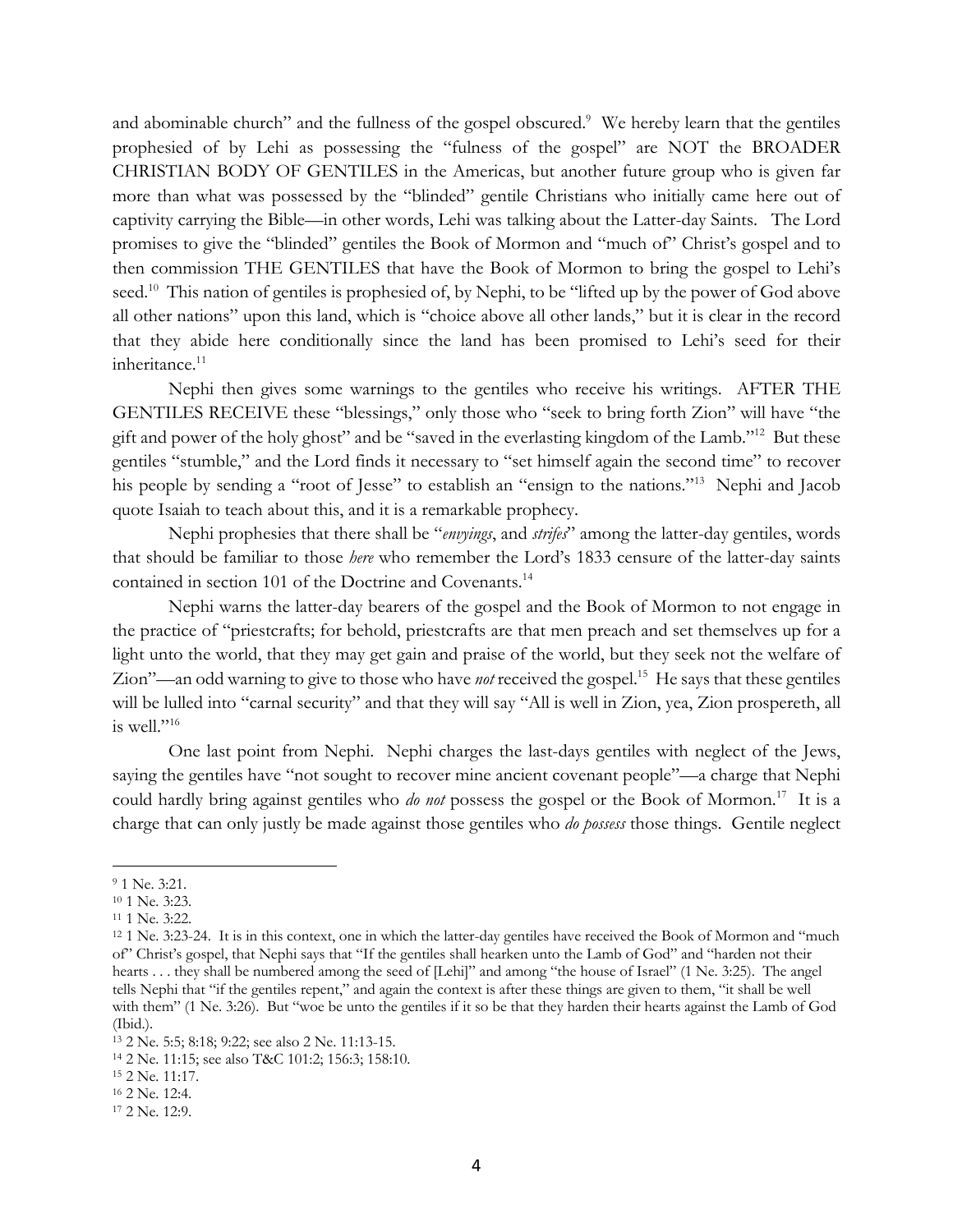and abominable church" and the fullness of the gospel obscured.<sup>9</sup> We hereby learn that the gentiles prophesied of by Lehi as possessing the "fulness of the gospel" are NOT the BROADER CHRISTIAN BODY OF GENTILES in the Americas, but another future group who is given far more than what was possessed by the "blinded" gentile Christians who initially came here out of captivity carrying the Bible—in other words, Lehi was talking about the Latter-day Saints. The Lord promises to give the "blinded" gentiles the Book of Mormon and "much of" Christ's gospel and to then commission THE GENTILES that have the Book of Mormon to bring the gospel to Lehi's seed.<sup>10</sup> This nation of gentiles is prophesied of, by Nephi, to be "lifted up by the power of God above all other nations" upon this land, which is "choice above all other lands," but it is clear in the record that they abide here conditionally since the land has been promised to Lehi's seed for their inheritance.<sup>11</sup>

Nephi then gives some warnings to the gentiles who receive his writings. AFTER THE GENTILES RECEIVE these "blessings," only those who "seek to bring forth Zion" will have "the gift and power of the holy ghost" and be "saved in the everlasting kingdom of the Lamb."12 But these gentiles "stumble," and the Lord finds it necessary to "set himself again the second time" to recover his people by sending a "root of Jesse" to establish an "ensign to the nations."<sup>13</sup> Nephi and Jacob quote Isaiah to teach about this, and it is a remarkable prophecy.

Nephi prophesies that there shall be "*envyings*, and *strifes*" among the latter-day gentiles, words that should be familiar to those *here* who remember the Lord's 1833 censure of the latter-day saints contained in section 101 of the Doctrine and Covenants.<sup>14</sup>

Nephi warns the latter-day bearers of the gospel and the Book of Mormon to not engage in the practice of "priestcrafts; for behold, priestcrafts are that men preach and set themselves up for a light unto the world, that they may get gain and praise of the world, but they seek not the welfare of Zion"—an odd warning to give to those who have *not* received the gospel.15 He says that these gentiles will be lulled into "carnal security" and that they will say "All is well in Zion, yea, Zion prospereth, all is well." $16$ 

One last point from Nephi. Nephi charges the last-days gentiles with neglect of the Jews, saying the gentiles have "not sought to recover mine ancient covenant people"—a charge that Nephi could hardly bring against gentiles who *do not* possess the gospel or the Book of Mormon. 17 It is a charge that can only justly be made against those gentiles who *do possess* those things. Gentile neglect

<sup>9</sup> 1 Ne. 3:21.

<sup>10</sup> 1 Ne. 3:23.

<sup>11</sup> 1 Ne. 3:22.

<sup>12</sup> 1 Ne. 3:23-24. It is in this context, one in which the latter-day gentiles have received the Book of Mormon and "much of" Christ's gospel, that Nephi says that "If the gentiles shall hearken unto the Lamb of God" and "harden not their hearts . . . they shall be numbered among the seed of [Lehi]" and among "the house of Israel" (1 Ne. 3:25). The angel tells Nephi that "if the gentiles repent," and again the context is after these things are given to them, "it shall be well with them" (1 Ne. 3:26). But "woe be unto the gentiles if it so be that they harden their hearts against the Lamb of God (Ibid.).

<sup>13</sup> 2 Ne. 5:5; 8:18; 9:22; see also 2 Ne. 11:13-15.

<sup>14</sup> 2 Ne. 11:15; see also T&C 101:2; 156:3; 158:10.

<sup>15</sup> 2 Ne. 11:17.

<sup>16</sup> 2 Ne. 12:4.

<sup>17</sup> 2 Ne. 12:9.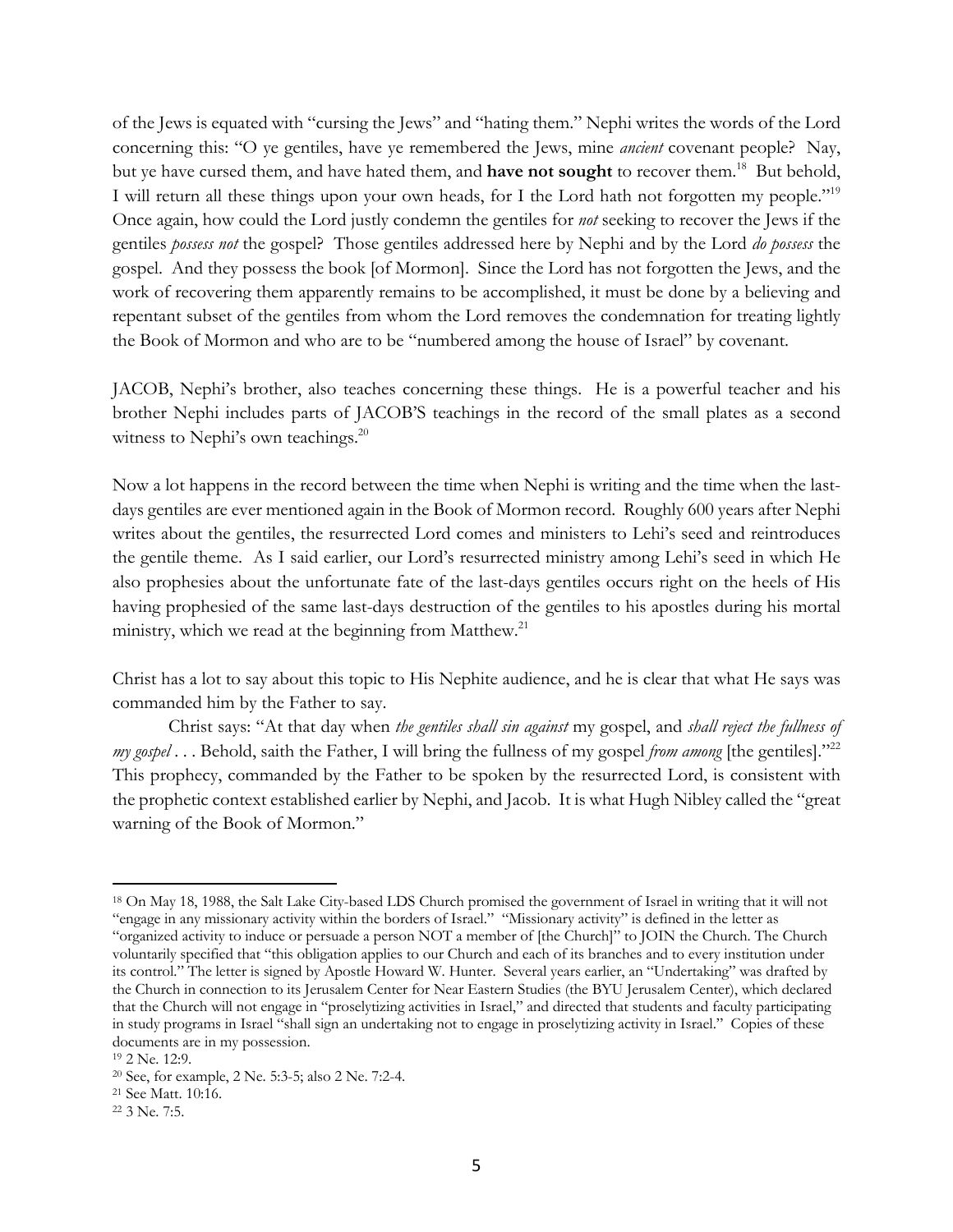of the Jews is equated with "cursing the Jews" and "hating them." Nephi writes the words of the Lord concerning this: "O ye gentiles, have ye remembered the Jews, mine *ancient* covenant people? Nay, but ye have cursed them, and have hated them, and **have not sought** to recover them.<sup>18</sup> But behold, I will return all these things upon your own heads, for I the Lord hath not forgotten my people."19 Once again, how could the Lord justly condemn the gentiles for *not* seeking to recover the Jews if the gentiles *possess not* the gospel? Those gentiles addressed here by Nephi and by the Lord *do possess* the gospel. And they possess the book [of Mormon]. Since the Lord has not forgotten the Jews, and the work of recovering them apparently remains to be accomplished, it must be done by a believing and repentant subset of the gentiles from whom the Lord removes the condemnation for treating lightly the Book of Mormon and who are to be "numbered among the house of Israel" by covenant.

JACOB, Nephi's brother, also teaches concerning these things. He is a powerful teacher and his brother Nephi includes parts of JACOB'S teachings in the record of the small plates as a second witness to Nephi's own teachings.<sup>20</sup>

Now a lot happens in the record between the time when Nephi is writing and the time when the lastdays gentiles are ever mentioned again in the Book of Mormon record. Roughly 600 years after Nephi writes about the gentiles, the resurrected Lord comes and ministers to Lehi's seed and reintroduces the gentile theme. As I said earlier, our Lord's resurrected ministry among Lehi's seed in which He also prophesies about the unfortunate fate of the last-days gentiles occurs right on the heels of His having prophesied of the same last-days destruction of the gentiles to his apostles during his mortal ministry, which we read at the beginning from Matthew.<sup>21</sup>

Christ has a lot to say about this topic to His Nephite audience, and he is clear that what He says was commanded him by the Father to say.

Christ says: "At that day when *the gentiles shall sin against* my gospel, and *shall reject the fullness of my gospel* . . . Behold, saith the Father, I will bring the fullness of my gospel *from among* [the gentiles]."<sup>22</sup> This prophecy, commanded by the Father to be spoken by the resurrected Lord, is consistent with the prophetic context established earlier by Nephi, and Jacob. It is what Hugh Nibley called the "great warning of the Book of Mormon."

<sup>18</sup> On May 18, 1988, the Salt Lake City-based LDS Church promised the government of Israel in writing that it will not "engage in any missionary activity within the borders of Israel." "Missionary activity" is defined in the letter as "organized activity to induce or persuade a person NOT a member of [the Church]" to JOIN the Church. The Church voluntarily specified that "this obligation applies to our Church and each of its branches and to every institution under its control." The letter is signed by Apostle Howard W. Hunter. Several years earlier, an "Undertaking" was drafted by the Church in connection to its Jerusalem Center for Near Eastern Studies (the BYU Jerusalem Center), which declared that the Church will not engage in "proselytizing activities in Israel," and directed that students and faculty participating in study programs in Israel "shall sign an undertaking not to engage in proselytizing activity in Israel." Copies of these documents are in my possession.

<sup>19</sup> 2 Ne. 12:9.

<sup>20</sup> See, for example, 2 Ne. 5:3-5; also 2 Ne. 7:2-4.

<sup>21</sup> See Matt. 10:16.

<sup>22</sup> 3 Ne. 7:5.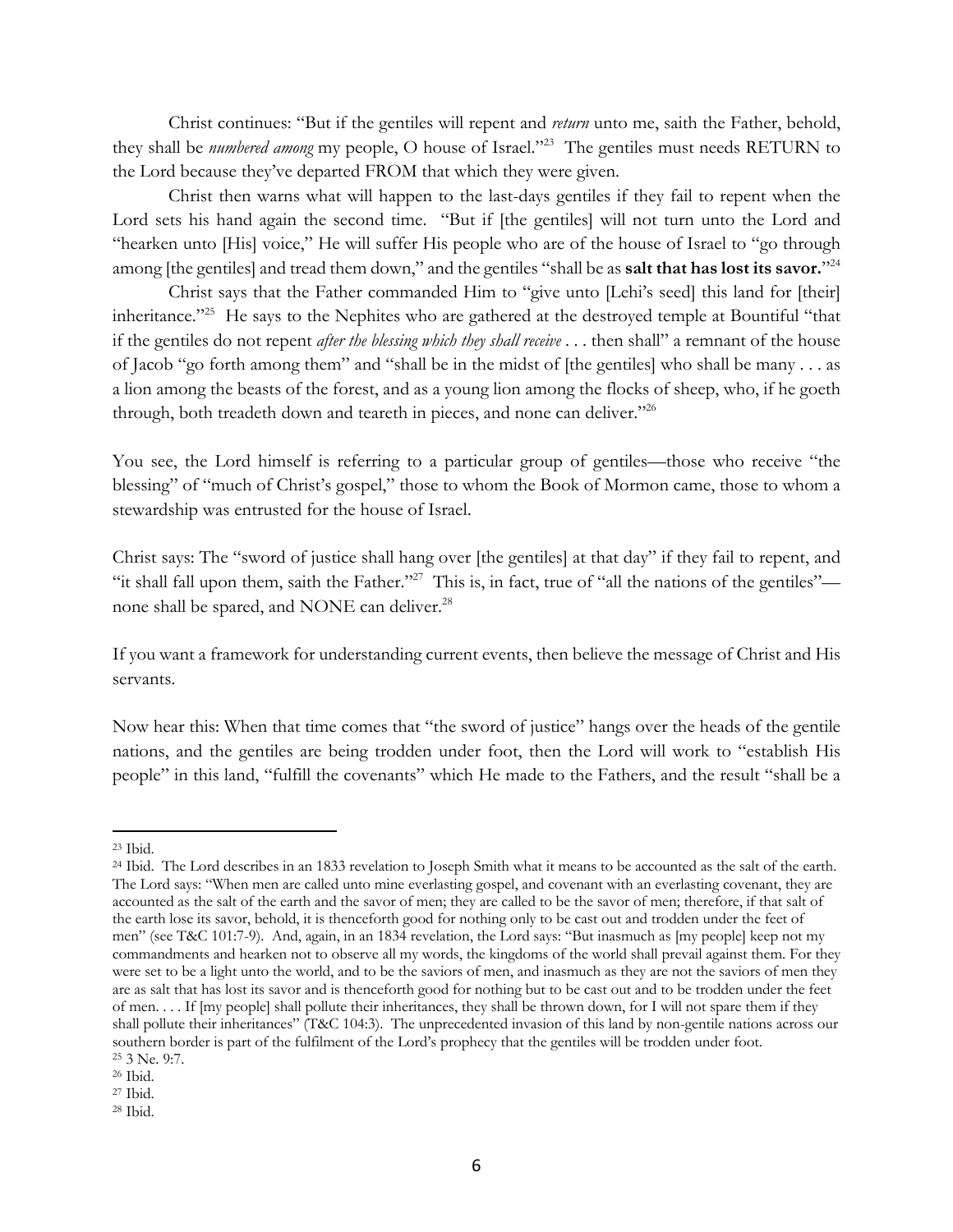Christ continues: "But if the gentiles will repent and *return* unto me, saith the Father, behold, they shall be *numbered among* my people, O house of Israel."23 The gentiles must needs RETURN to the Lord because they've departed FROM that which they were given.

Christ then warns what will happen to the last-days gentiles if they fail to repent when the Lord sets his hand again the second time. "But if [the gentiles] will not turn unto the Lord and "hearken unto [His] voice," He will suffer His people who are of the house of Israel to "go through among [the gentiles] and tread them down," and the gentiles "shall be as **salt that has lost its savor.**"24

Christ says that the Father commanded Him to "give unto [Lehi's seed] this land for [their] inheritance."<sup>25</sup> He says to the Nephites who are gathered at the destroyed temple at Bountiful "that if the gentiles do not repent *after the blessing which they shall receive* . . . then shall" a remnant of the house of Jacob "go forth among them" and "shall be in the midst of [the gentiles] who shall be many . . . as a lion among the beasts of the forest, and as a young lion among the flocks of sheep, who, if he goeth through, both treadeth down and teareth in pieces, and none can deliver."<sup>26</sup>

You see, the Lord himself is referring to a particular group of gentiles—those who receive "the blessing" of "much of Christ's gospel," those to whom the Book of Mormon came, those to whom a stewardship was entrusted for the house of Israel.

Christ says: The "sword of justice shall hang over [the gentiles] at that day" if they fail to repent, and "it shall fall upon them, saith the Father."<sup>27</sup> This is, in fact, true of "all the nations of the gentiles" none shall be spared, and NONE can deliver.<sup>28</sup>

If you want a framework for understanding current events, then believe the message of Christ and His servants.

Now hear this: When that time comes that "the sword of justice" hangs over the heads of the gentile nations, and the gentiles are being trodden under foot, then the Lord will work to "establish His people" in this land, "fulfill the covenants" which He made to the Fathers, and the result "shall be a

<sup>23</sup> Ibid.

<sup>&</sup>lt;sup>24</sup> Ibid. The Lord describes in an 1833 revelation to Joseph Smith what it means to be accounted as the salt of the earth. The Lord says: "When men are called unto mine everlasting gospel, and covenant with an everlasting covenant, they are accounted as the salt of the earth and the savor of men; they are called to be the savor of men; therefore, if that salt of the earth lose its savor, behold, it is thenceforth good for nothing only to be cast out and trodden under the feet of men" (see T&C 101:7-9). And, again, in an 1834 revelation, the Lord says: "But inasmuch as [my people] keep not my commandments and hearken not to observe all my words, the kingdoms of the world shall prevail against them. For they were set to be a light unto the world, and to be the saviors of men, and inasmuch as they are not the saviors of men they are as salt that has lost its savor and is thenceforth good for nothing but to be cast out and to be trodden under the feet of men. . . . If [my people] shall pollute their inheritances, they shall be thrown down, for I will not spare them if they shall pollute their inheritances" (T&C 104:3). The unprecedented invasion of this land by non-gentile nations across our southern border is part of the fulfilment of the Lord's prophecy that the gentiles will be trodden under foot. 25 3 Ne. 9:7.

<sup>26</sup> Ibid.

<sup>27</sup> Ibid.

<sup>28</sup> Ibid.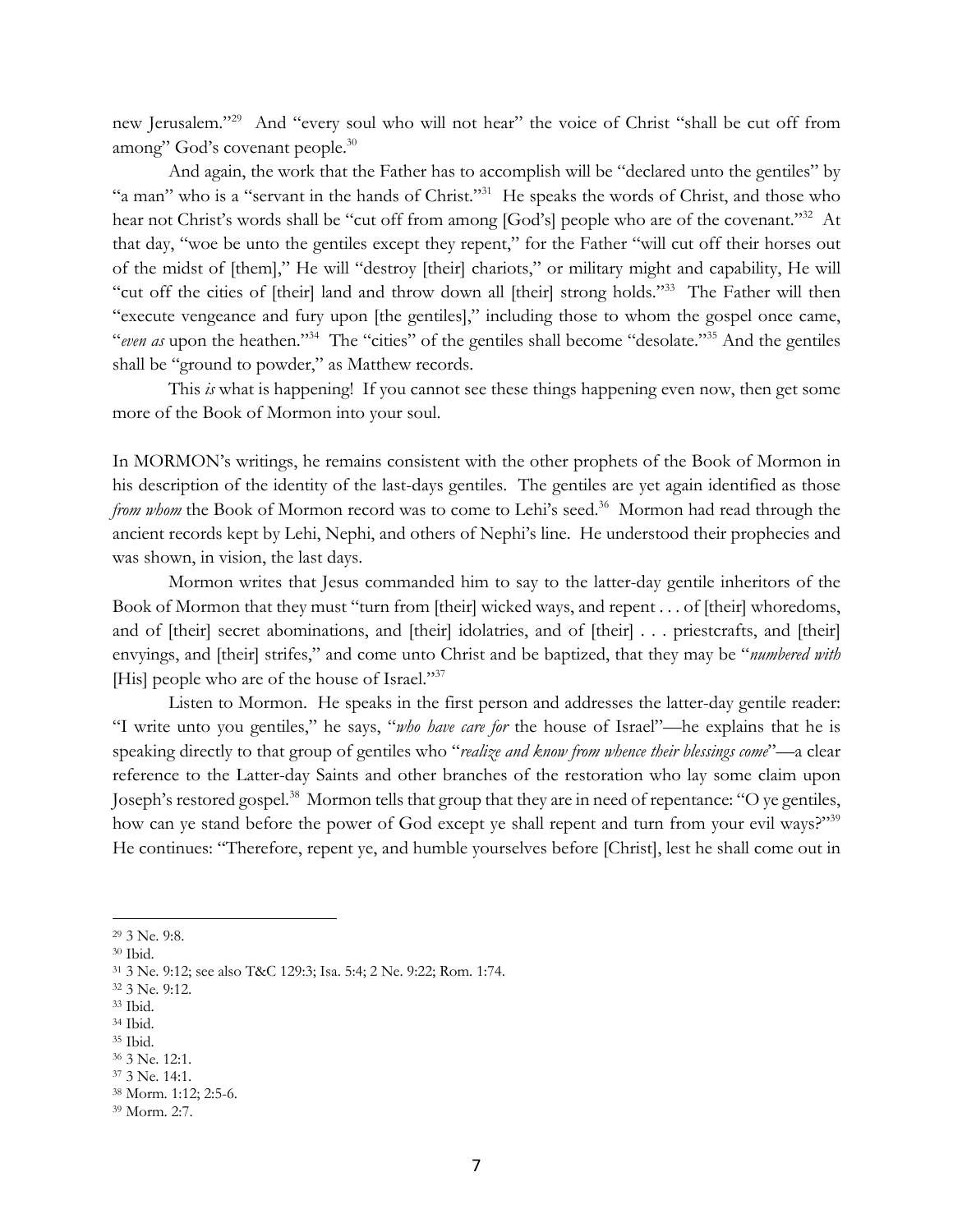new Jerusalem."<sup>29</sup> And "every soul who will not hear" the voice of Christ "shall be cut off from among" God's covenant people.30

And again, the work that the Father has to accomplish will be "declared unto the gentiles" by "a man" who is a "servant in the hands of Christ."31 He speaks the words of Christ, and those who hear not Christ's words shall be "cut off from among [God's] people who are of the covenant."<sup>32</sup> At that day, "woe be unto the gentiles except they repent," for the Father "will cut off their horses out of the midst of [them]," He will "destroy [their] chariots," or military might and capability, He will "cut off the cities of [their] land and throw down all [their] strong holds."33 The Father will then "execute vengeance and fury upon [the gentiles]," including those to whom the gospel once came, "*even as* upon the heathen."34 The "cities" of the gentiles shall become "desolate."35 And the gentiles shall be "ground to powder," as Matthew records.

This *is* what is happening! If you cannot see these things happening even now, then get some more of the Book of Mormon into your soul.

In MORMON's writings, he remains consistent with the other prophets of the Book of Mormon in his description of the identity of the last-days gentiles. The gentiles are yet again identified as those *from whom* the Book of Mormon record was to come to Lehi's seed.<sup>36</sup> Mormon had read through the ancient records kept by Lehi, Nephi, and others of Nephi's line. He understood their prophecies and was shown, in vision, the last days.

Mormon writes that Jesus commanded him to say to the latter-day gentile inheritors of the Book of Mormon that they must "turn from [their] wicked ways, and repent . . . of [their] whoredoms, and of [their] secret abominations, and [their] idolatries, and of [their] . . . priestcrafts, and [their] envyings, and [their] strifes," and come unto Christ and be baptized, that they may be "*numbered with* [His] people who are of the house of Israel."<sup>37</sup>

Listen to Mormon. He speaks in the first person and addresses the latter-day gentile reader: "I write unto you gentiles," he says, "*who have care for* the house of Israel"—he explains that he is speaking directly to that group of gentiles who "*realize and know from whence their blessings come*"—a clear reference to the Latter-day Saints and other branches of the restoration who lay some claim upon Joseph's restored gospel.<sup>38</sup> Mormon tells that group that they are in need of repentance: "O ye gentiles, how can ye stand before the power of God except ye shall repent and turn from your evil ways?"<sup>39</sup> He continues: "Therefore, repent ye, and humble yourselves before [Christ], lest he shall come out in

<sup>34</sup> Ibid.

<sup>29</sup> 3 Ne. 9:8.

<sup>30</sup> Ibid.

<sup>31</sup> 3 Ne. 9:12; see also T&C 129:3; Isa. 5:4; 2 Ne. 9:22; Rom. 1:74.

<sup>32</sup> 3 Ne. 9:12.

<sup>33</sup> Ibid.

<sup>35</sup> Ibid.

<sup>36</sup> 3 Ne. 12:1. <sup>37</sup> 3 Ne. 14:1.

<sup>38</sup> Morm. 1:12; 2:5-6.

<sup>39</sup> Morm. 2:7.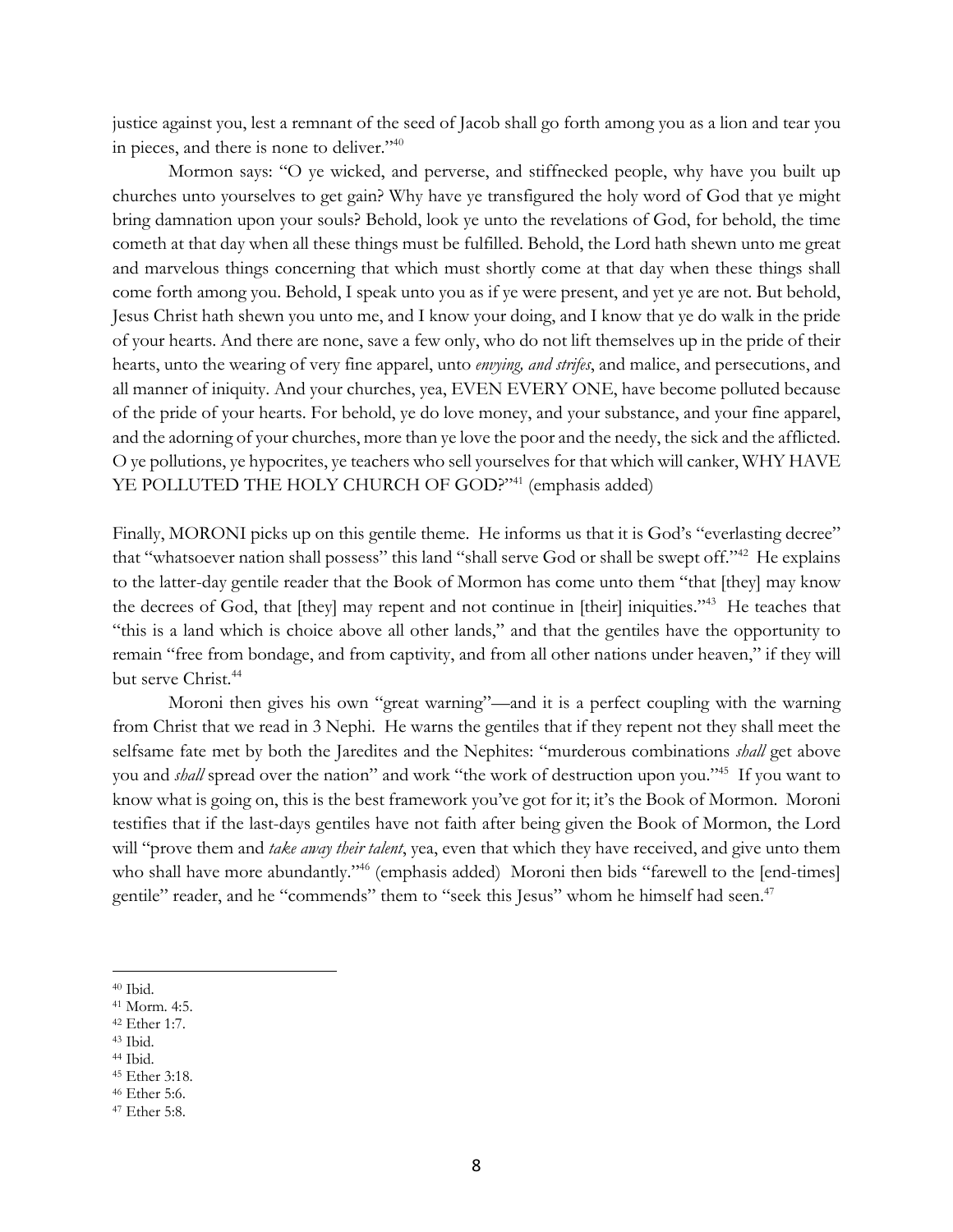justice against you, lest a remnant of the seed of Jacob shall go forth among you as a lion and tear you in pieces, and there is none to deliver."<sup>40</sup>

Mormon says: "O ye wicked, and perverse, and stiffnecked people, why have you built up churches unto yourselves to get gain? Why have ye transfigured the holy word of God that ye might bring damnation upon your souls? Behold, look ye unto the revelations of God, for behold, the time cometh at that day when all these things must be fulfilled. Behold, the Lord hath shewn unto me great and marvelous things concerning that which must shortly come at that day when these things shall come forth among you. Behold, I speak unto you as if ye were present, and yet ye are not. But behold, Jesus Christ hath shewn you unto me, and I know your doing, and I know that ye do walk in the pride of your hearts. And there are none, save a few only, who do not lift themselves up in the pride of their hearts, unto the wearing of very fine apparel, unto *envying, and strifes*, and malice, and persecutions, and all manner of iniquity. And your churches, yea, EVEN EVERY ONE, have become polluted because of the pride of your hearts. For behold, ye do love money, and your substance, and your fine apparel, and the adorning of your churches, more than ye love the poor and the needy, the sick and the afflicted. O ye pollutions, ye hypocrites, ye teachers who sell yourselves for that which will canker, WHY HAVE YE POLLUTED THE HOLY CHURCH OF GOD?"<sup>41</sup> (emphasis added)

Finally, MORONI picks up on this gentile theme. He informs us that it is God's "everlasting decree" that "whatsoever nation shall possess" this land "shall serve God or shall be swept off."42 He explains to the latter-day gentile reader that the Book of Mormon has come unto them "that [they] may know the decrees of God, that [they] may repent and not continue in [their] iniquities."43 He teaches that "this is a land which is choice above all other lands," and that the gentiles have the opportunity to remain "free from bondage, and from captivity, and from all other nations under heaven," if they will but serve Christ.<sup>44</sup>

Moroni then gives his own "great warning"—and it is a perfect coupling with the warning from Christ that we read in 3 Nephi. He warns the gentiles that if they repent not they shall meet the selfsame fate met by both the Jaredites and the Nephites: "murderous combinations *shall* get above you and *shall* spread over the nation" and work "the work of destruction upon you."45 If you want to know what is going on, this is the best framework you've got for it; it's the Book of Mormon. Moroni testifies that if the last-days gentiles have not faith after being given the Book of Mormon, the Lord will "prove them and *take away their talent*, yea, even that which they have received, and give unto them who shall have more abundantly."<sup>46</sup> (emphasis added) Moroni then bids "farewell to the [end-times] gentile" reader, and he "commends" them to "seek this Jesus" whom he himself had seen.<sup>47</sup>

- <sup>42</sup> Ether 1:7.
- <sup>43</sup> Ibid.

<sup>40</sup> Ibid.

<sup>41</sup> Morm. 4:5.

<sup>44</sup> Ibid.

<sup>45</sup> Ether 3:18.

<sup>46</sup> Ether 5:6.

<sup>47</sup> Ether 5:8.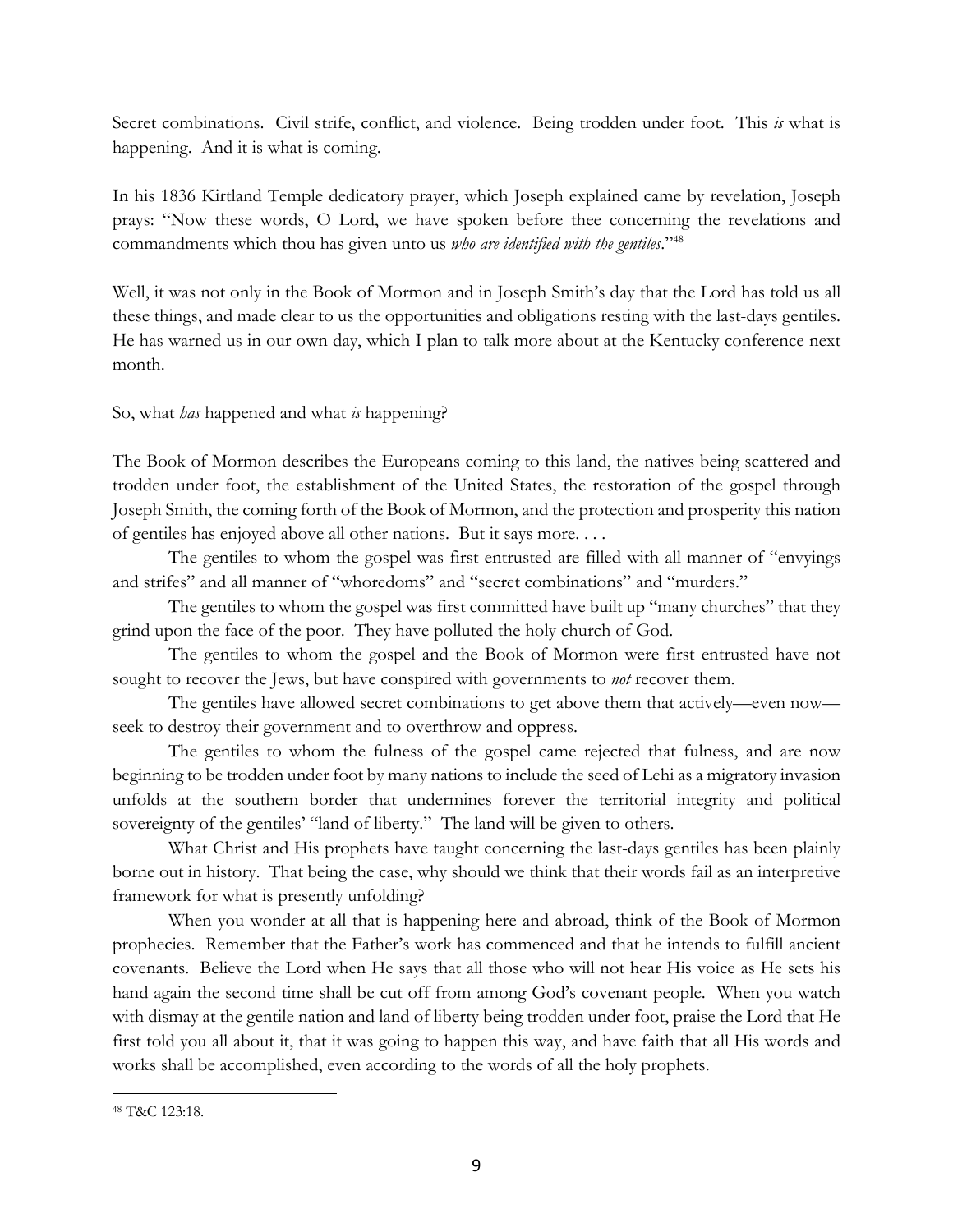Secret combinations. Civil strife, conflict, and violence. Being trodden under foot. This *is* what is happening. And it is what is coming.

In his 1836 Kirtland Temple dedicatory prayer, which Joseph explained came by revelation, Joseph prays: "Now these words, O Lord, we have spoken before thee concerning the revelations and commandments which thou has given unto us *who are identified with the gentiles*."48

Well, it was not only in the Book of Mormon and in Joseph Smith's day that the Lord has told us all these things, and made clear to us the opportunities and obligations resting with the last-days gentiles. He has warned us in our own day, which I plan to talk more about at the Kentucky conference next month.

So, what *has* happened and what *is* happening?

The Book of Mormon describes the Europeans coming to this land, the natives being scattered and trodden under foot, the establishment of the United States, the restoration of the gospel through Joseph Smith, the coming forth of the Book of Mormon, and the protection and prosperity this nation of gentiles has enjoyed above all other nations. But it says more. . . .

The gentiles to whom the gospel was first entrusted are filled with all manner of "envyings and strifes" and all manner of "whoredoms" and "secret combinations" and "murders."

The gentiles to whom the gospel was first committed have built up "many churches" that they grind upon the face of the poor. They have polluted the holy church of God.

The gentiles to whom the gospel and the Book of Mormon were first entrusted have not sought to recover the Jews, but have conspired with governments to *not* recover them.

The gentiles have allowed secret combinations to get above them that actively—even now seek to destroy their government and to overthrow and oppress.

The gentiles to whom the fulness of the gospel came rejected that fulness, and are now beginning to be trodden under foot by many nations to include the seed of Lehi as a migratory invasion unfolds at the southern border that undermines forever the territorial integrity and political sovereignty of the gentiles' "land of liberty." The land will be given to others.

What Christ and His prophets have taught concerning the last-days gentiles has been plainly borne out in history. That being the case, why should we think that their words fail as an interpretive framework for what is presently unfolding?

When you wonder at all that is happening here and abroad, think of the Book of Mormon prophecies. Remember that the Father's work has commenced and that he intends to fulfill ancient covenants. Believe the Lord when He says that all those who will not hear His voice as He sets his hand again the second time shall be cut off from among God's covenant people. When you watch with dismay at the gentile nation and land of liberty being trodden under foot, praise the Lord that He first told you all about it, that it was going to happen this way, and have faith that all His words and works shall be accomplished, even according to the words of all the holy prophets.

<sup>48</sup> T&C 123:18.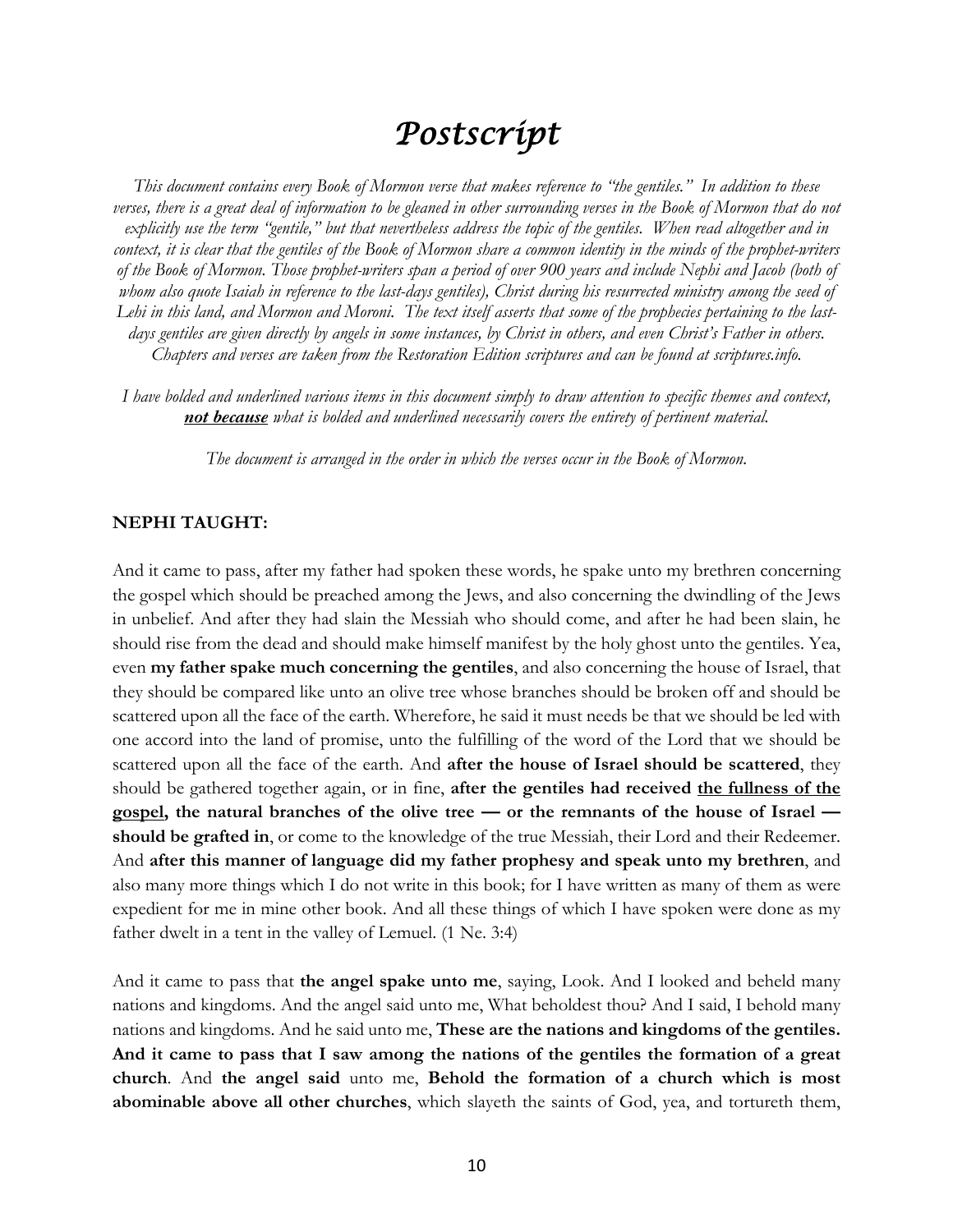# *Postscript*

*This document contains every Book of Mormon verse that makes reference to "the gentiles." In addition to these verses, there is a great deal of information to be gleaned in other surrounding verses in the Book of Mormon that do not explicitly use the term "gentile," but that nevertheless address the topic of the gentiles. When read altogether and in context, it is clear that the gentiles of the Book of Mormon share a common identity in the minds of the prophet-writers of the Book of Mormon. Those prophet-writers span a period of over 900 years and include Nephi and Jacob (both of whom also quote Isaiah in reference to the last-days gentiles), Christ during his resurrected ministry among the seed of Lehi in this land, and Mormon and Moroni. The text itself asserts that some of the prophecies pertaining to the lastdays gentiles are given directly by angels in some instances, by Christ in others, and even Christ's Father in others. Chapters and verses are taken from the Restoration Edition scriptures and can be found at scriptures.info.*

*I have bolded and underlined various items in this document simply to draw attention to specific themes and context, not because what is bolded and underlined necessarily covers the entirety of pertinent material.*

*The document is arranged in the order in which the verses occur in the Book of Mormon.*

#### **NEPHI TAUGHT:**

And it came to pass, after my father had spoken these words, he spake unto my brethren concerning the gospel which should be preached among the Jews, and also concerning the dwindling of the Jews in unbelief. And after they had slain the Messiah who should come, and after he had been slain, he should rise from the dead and should make himself manifest by the holy ghost unto the gentiles. Yea, even **my father spake much concerning the gentiles**, and also concerning the house of Israel, that they should be compared like unto an olive tree whose branches should be broken off and should be scattered upon all the face of the earth. Wherefore, he said it must needs be that we should be led with one accord into the land of promise, unto the fulfilling of the word of the Lord that we should be scattered upon all the face of the earth. And **after the house of Israel should be scattered**, they should be gathered together again, or in fine, **after the gentiles had received the fullness of the gospel, the natural branches of the olive tree — or the remnants of the house of Israel should be grafted in**, or come to the knowledge of the true Messiah, their Lord and their Redeemer. And **after this manner of language did my father prophesy and speak unto my brethren**, and also many more things which I do not write in this book; for I have written as many of them as were expedient for me in mine other book. And all these things of which I have spoken were done as my father dwelt in a tent in the valley of Lemuel. (1 Ne. 3:4)

And it came to pass that **the angel spake unto me**, saying, Look. And I looked and beheld many nations and kingdoms. And the angel said unto me, What beholdest thou? And I said, I behold many nations and kingdoms. And he said unto me, **These are the nations and kingdoms of the gentiles. And it came to pass that I saw among the nations of the gentiles the formation of a great church**. And **the angel said** unto me, **Behold the formation of a church which is most abominable above all other churches**, which slayeth the saints of God, yea, and tortureth them,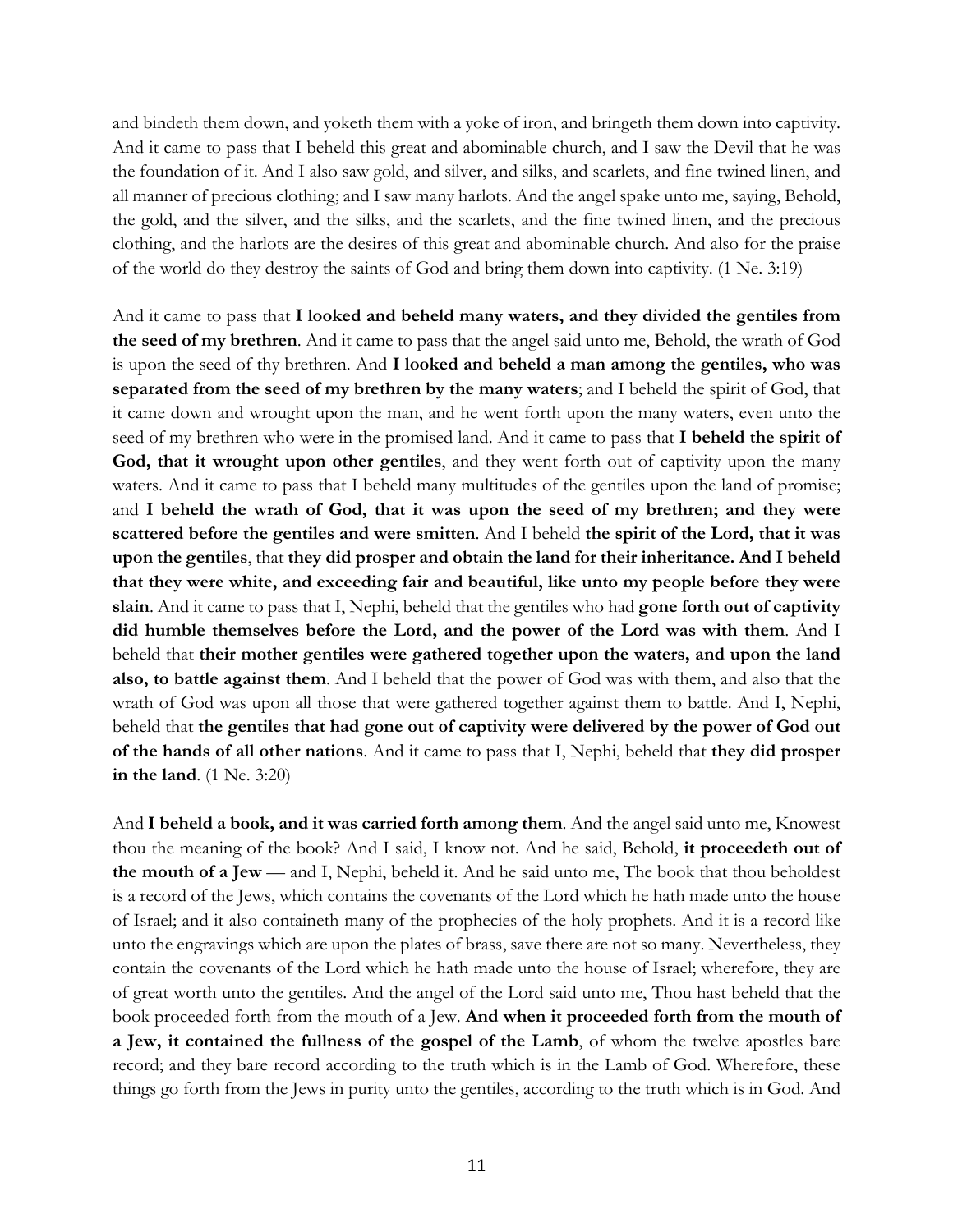and bindeth them down, and yoketh them with a yoke of iron, and bringeth them down into captivity. And it came to pass that I beheld this great and abominable church, and I saw the Devil that he was the foundation of it. And I also saw gold, and silver, and silks, and scarlets, and fine twined linen, and all manner of precious clothing; and I saw many harlots. And the angel spake unto me, saying, Behold, the gold, and the silver, and the silks, and the scarlets, and the fine twined linen, and the precious clothing, and the harlots are the desires of this great and abominable church. And also for the praise of the world do they destroy the saints of God and bring them down into captivity. (1 Ne. 3:19)

And it came to pass that **I looked and beheld many waters, and they divided the gentiles from the seed of my brethren**. And it came to pass that the angel said unto me, Behold, the wrath of God is upon the seed of thy brethren. And **I looked and beheld a man among the gentiles, who was separated from the seed of my brethren by the many waters**; and I beheld the spirit of God, that it came down and wrought upon the man, and he went forth upon the many waters, even unto the seed of my brethren who were in the promised land. And it came to pass that **I beheld the spirit of**  God, that it wrought upon other gentiles, and they went forth out of captivity upon the many waters. And it came to pass that I beheld many multitudes of the gentiles upon the land of promise; and **I beheld the wrath of God, that it was upon the seed of my brethren; and they were scattered before the gentiles and were smitten**. And I beheld **the spirit of the Lord, that it was upon the gentiles**, that **they did prosper and obtain the land for their inheritance. And I beheld that they were white, and exceeding fair and beautiful, like unto my people before they were slain**. And it came to pass that I, Nephi, beheld that the gentiles who had **gone forth out of captivity did humble themselves before the Lord, and the power of the Lord was with them**. And I beheld that **their mother gentiles were gathered together upon the waters, and upon the land also, to battle against them**. And I beheld that the power of God was with them, and also that the wrath of God was upon all those that were gathered together against them to battle. And I, Nephi, beheld that **the gentiles that had gone out of captivity were delivered by the power of God out of the hands of all other nations**. And it came to pass that I, Nephi, beheld that **they did prosper in the land**. (1 Ne. 3:20)

And **I beheld a book, and it was carried forth among them**. And the angel said unto me, Knowest thou the meaning of the book? And I said, I know not. And he said, Behold, **it proceedeth out of the mouth of a Jew** — and I, Nephi, beheld it. And he said unto me, The book that thou beholdest is a record of the Jews, which contains the covenants of the Lord which he hath made unto the house of Israel; and it also containeth many of the prophecies of the holy prophets. And it is a record like unto the engravings which are upon the plates of brass, save there are not so many. Nevertheless, they contain the covenants of the Lord which he hath made unto the house of Israel; wherefore, they are of great worth unto the gentiles. And the angel of the Lord said unto me, Thou hast beheld that the book proceeded forth from the mouth of a Jew. **And when it proceeded forth from the mouth of a Jew, it contained the fullness of the gospel of the Lamb**, of whom the twelve apostles bare record; and they bare record according to the truth which is in the Lamb of God. Wherefore, these things go forth from the Jews in purity unto the gentiles, according to the truth which is in God. And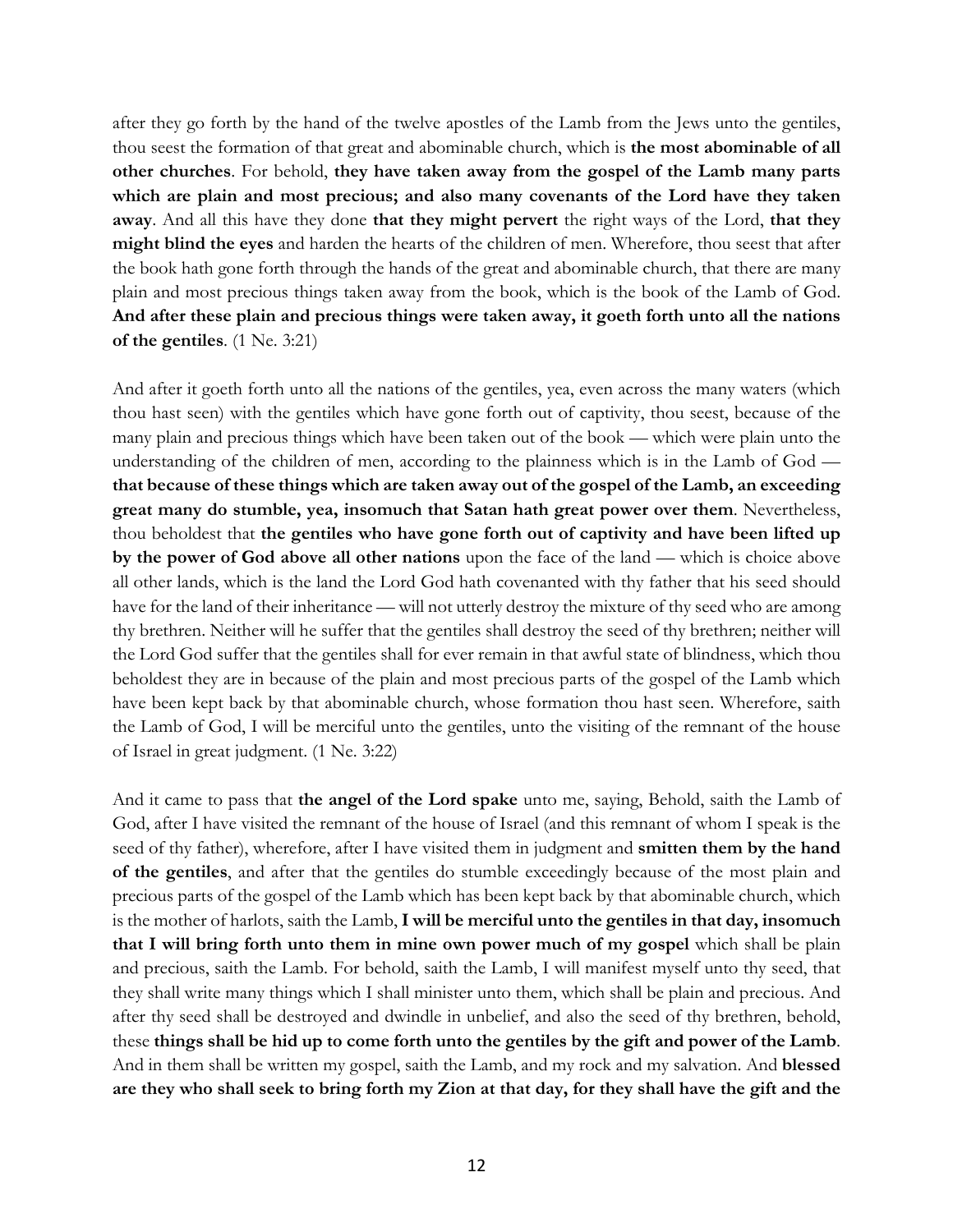after they go forth by the hand of the twelve apostles of the Lamb from the Jews unto the gentiles, thou seest the formation of that great and abominable church, which is **the most abominable of all other churches**. For behold, **they have taken away from the gospel of the Lamb many parts which are plain and most precious; and also many covenants of the Lord have they taken away**. And all this have they done **that they might pervert** the right ways of the Lord, **that they might blind the eyes** and harden the hearts of the children of men. Wherefore, thou seest that after the book hath gone forth through the hands of the great and abominable church, that there are many plain and most precious things taken away from the book, which is the book of the Lamb of God. **And after these plain and precious things were taken away, it goeth forth unto all the nations of the gentiles**. (1 Ne. 3:21)

And after it goeth forth unto all the nations of the gentiles, yea, even across the many waters (which thou hast seen) with the gentiles which have gone forth out of captivity, thou seest, because of the many plain and precious things which have been taken out of the book — which were plain unto the understanding of the children of men, according to the plainness which is in the Lamb of God **that because of these things which are taken away out of the gospel of the Lamb, an exceeding great many do stumble, yea, insomuch that Satan hath great power over them**. Nevertheless, thou beholdest that **the gentiles who have gone forth out of captivity and have been lifted up by the power of God above all other nations** upon the face of the land — which is choice above all other lands, which is the land the Lord God hath covenanted with thy father that his seed should have for the land of their inheritance — will not utterly destroy the mixture of thy seed who are among thy brethren. Neither will he suffer that the gentiles shall destroy the seed of thy brethren; neither will the Lord God suffer that the gentiles shall for ever remain in that awful state of blindness, which thou beholdest they are in because of the plain and most precious parts of the gospel of the Lamb which have been kept back by that abominable church, whose formation thou hast seen. Wherefore, saith the Lamb of God, I will be merciful unto the gentiles, unto the visiting of the remnant of the house of Israel in great judgment. (1 Ne. 3:22)

And it came to pass that **the angel of the Lord spake** unto me, saying, Behold, saith the Lamb of God, after I have visited the remnant of the house of Israel (and this remnant of whom I speak is the seed of thy father), wherefore, after I have visited them in judgment and **smitten them by the hand of the gentiles**, and after that the gentiles do stumble exceedingly because of the most plain and precious parts of the gospel of the Lamb which has been kept back by that abominable church, which is the mother of harlots, saith the Lamb, **I will be merciful unto the gentiles in that day, insomuch that I will bring forth unto them in mine own power much of my gospel** which shall be plain and precious, saith the Lamb. For behold, saith the Lamb, I will manifest myself unto thy seed, that they shall write many things which I shall minister unto them, which shall be plain and precious. And after thy seed shall be destroyed and dwindle in unbelief, and also the seed of thy brethren, behold, these **things shall be hid up to come forth unto the gentiles by the gift and power of the Lamb**. And in them shall be written my gospel, saith the Lamb, and my rock and my salvation. And **blessed are they who shall seek to bring forth my Zion at that day, for they shall have the gift and the**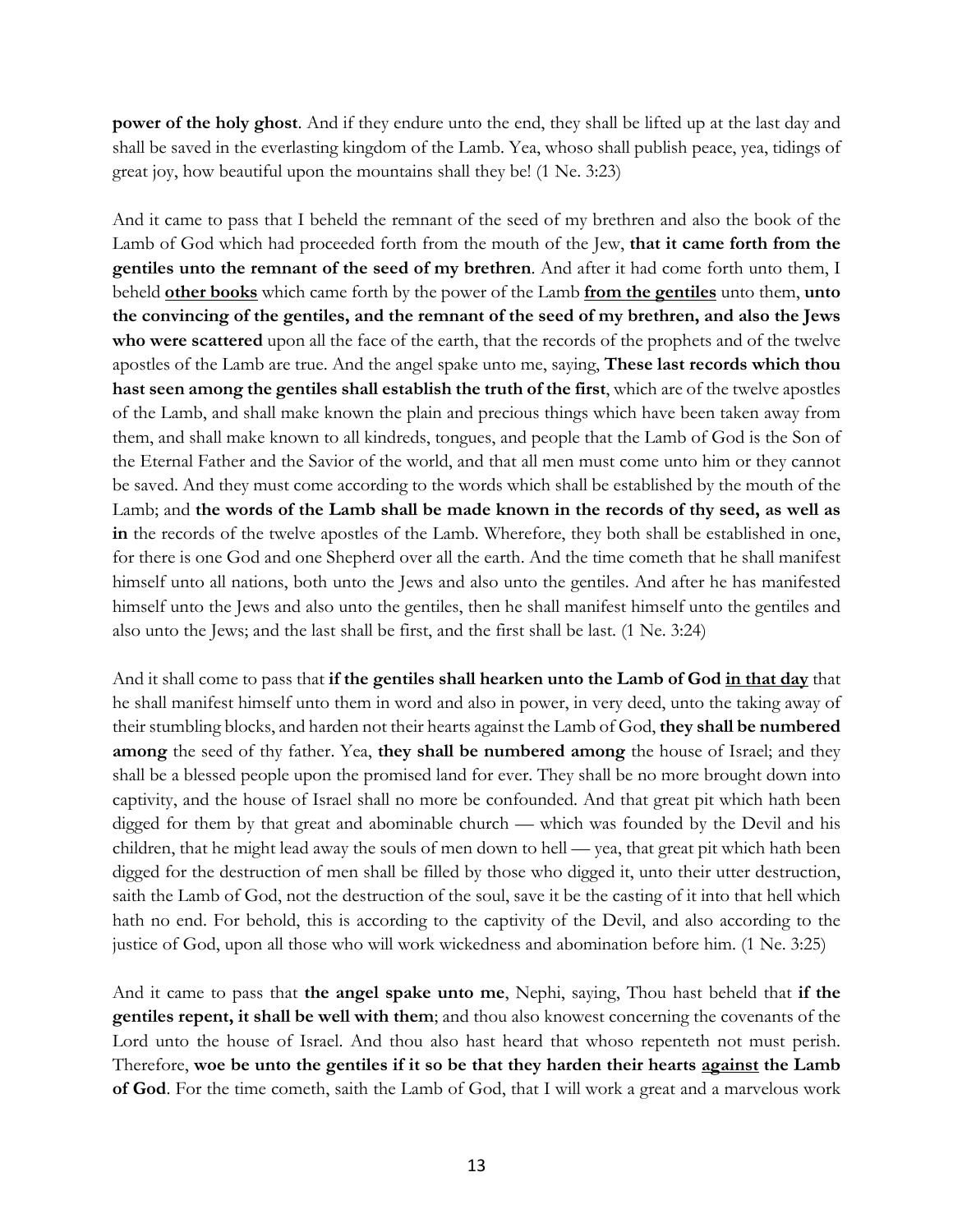**power of the holy ghost**. And if they endure unto the end, they shall be lifted up at the last day and shall be saved in the everlasting kingdom of the Lamb. Yea, whoso shall publish peace, yea, tidings of great joy, how beautiful upon the mountains shall they be! (1 Ne. 3:23)

And it came to pass that I beheld the remnant of the seed of my brethren and also the book of the Lamb of God which had proceeded forth from the mouth of the Jew, **that it came forth from the gentiles unto the remnant of the seed of my brethren**. And after it had come forth unto them, I beheld **other books** which came forth by the power of the Lamb **from the gentiles** unto them, **unto the convincing of the gentiles, and the remnant of the seed of my brethren, and also the Jews who were scattered** upon all the face of the earth, that the records of the prophets and of the twelve apostles of the Lamb are true. And the angel spake unto me, saying, **These last records which thou hast seen among the gentiles shall establish the truth of the first**, which are of the twelve apostles of the Lamb, and shall make known the plain and precious things which have been taken away from them, and shall make known to all kindreds, tongues, and people that the Lamb of God is the Son of the Eternal Father and the Savior of the world, and that all men must come unto him or they cannot be saved. And they must come according to the words which shall be established by the mouth of the Lamb; and **the words of the Lamb shall be made known in the records of thy seed, as well as in** the records of the twelve apostles of the Lamb. Wherefore, they both shall be established in one, for there is one God and one Shepherd over all the earth. And the time cometh that he shall manifest himself unto all nations, both unto the Jews and also unto the gentiles. And after he has manifested himself unto the Jews and also unto the gentiles, then he shall manifest himself unto the gentiles and also unto the Jews; and the last shall be first, and the first shall be last. (1 Ne. 3:24)

And it shall come to pass that **if the gentiles shall hearken unto the Lamb of God in that day** that he shall manifest himself unto them in word and also in power, in very deed, unto the taking away of their stumbling blocks, and harden not their hearts against the Lamb of God, **they shall be numbered among** the seed of thy father. Yea, **they shall be numbered among** the house of Israel; and they shall be a blessed people upon the promised land for ever. They shall be no more brought down into captivity, and the house of Israel shall no more be confounded. And that great pit which hath been digged for them by that great and abominable church — which was founded by the Devil and his children, that he might lead away the souls of men down to hell — yea, that great pit which hath been digged for the destruction of men shall be filled by those who digged it, unto their utter destruction, saith the Lamb of God, not the destruction of the soul, save it be the casting of it into that hell which hath no end. For behold, this is according to the captivity of the Devil, and also according to the justice of God, upon all those who will work wickedness and abomination before him. (1 Ne. 3:25)

And it came to pass that **the angel spake unto me**, Nephi, saying, Thou hast beheld that **if the gentiles repent, it shall be well with them**; and thou also knowest concerning the covenants of the Lord unto the house of Israel. And thou also hast heard that whoso repenteth not must perish. Therefore, **woe be unto the gentiles if it so be that they harden their hearts against the Lamb of God**. For the time cometh, saith the Lamb of God, that I will work a great and a marvelous work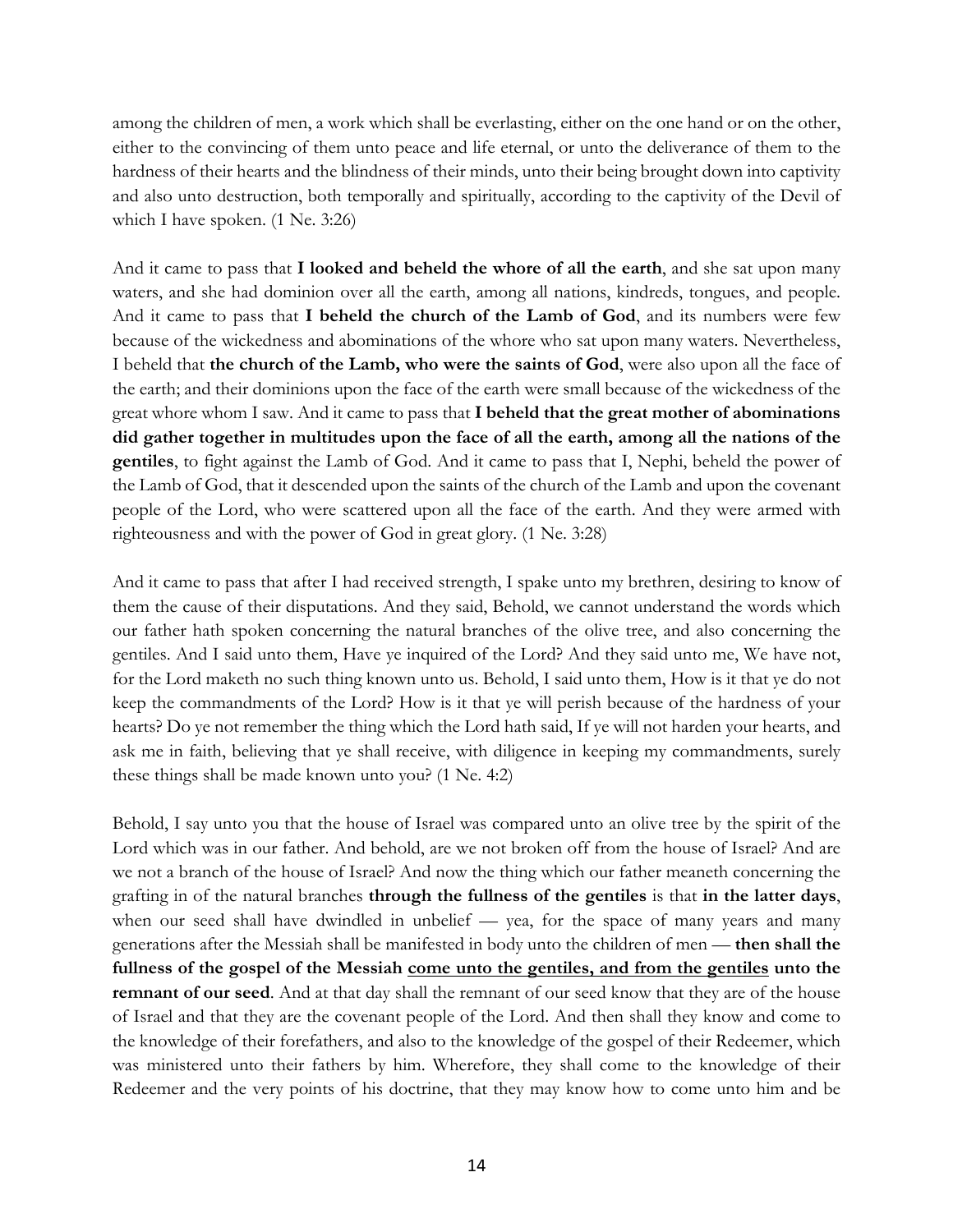among the children of men, a work which shall be everlasting, either on the one hand or on the other, either to the convincing of them unto peace and life eternal, or unto the deliverance of them to the hardness of their hearts and the blindness of their minds, unto their being brought down into captivity and also unto destruction, both temporally and spiritually, according to the captivity of the Devil of which I have spoken. (1 Ne. 3:26)

And it came to pass that **I looked and beheld the whore of all the earth**, and she sat upon many waters, and she had dominion over all the earth, among all nations, kindreds, tongues, and people. And it came to pass that **I beheld the church of the Lamb of God**, and its numbers were few because of the wickedness and abominations of the whore who sat upon many waters. Nevertheless, I beheld that **the church of the Lamb, who were the saints of God**, were also upon all the face of the earth; and their dominions upon the face of the earth were small because of the wickedness of the great whore whom I saw. And it came to pass that **I beheld that the great mother of abominations did gather together in multitudes upon the face of all the earth, among all the nations of the gentiles**, to fight against the Lamb of God. And it came to pass that I, Nephi, beheld the power of the Lamb of God, that it descended upon the saints of the church of the Lamb and upon the covenant people of the Lord, who were scattered upon all the face of the earth. And they were armed with righteousness and with the power of God in great glory. (1 Ne. 3:28)

And it came to pass that after I had received strength, I spake unto my brethren, desiring to know of them the cause of their disputations. And they said, Behold, we cannot understand the words which our father hath spoken concerning the natural branches of the olive tree, and also concerning the gentiles. And I said unto them, Have ye inquired of the Lord? And they said unto me, We have not, for the Lord maketh no such thing known unto us. Behold, I said unto them, How is it that ye do not keep the commandments of the Lord? How is it that ye will perish because of the hardness of your hearts? Do ye not remember the thing which the Lord hath said, If ye will not harden your hearts, and ask me in faith, believing that ye shall receive, with diligence in keeping my commandments, surely these things shall be made known unto you? (1 Ne. 4:2)

Behold, I say unto you that the house of Israel was compared unto an olive tree by the spirit of the Lord which was in our father. And behold, are we not broken off from the house of Israel? And are we not a branch of the house of Israel? And now the thing which our father meaneth concerning the grafting in of the natural branches **through the fullness of the gentiles** is that **in the latter days**, when our seed shall have dwindled in unbelief — yea, for the space of many years and many generations after the Messiah shall be manifested in body unto the children of men — **then shall the fullness of the gospel of the Messiah come unto the gentiles, and from the gentiles unto the remnant of our seed**. And at that day shall the remnant of our seed know that they are of the house of Israel and that they are the covenant people of the Lord. And then shall they know and come to the knowledge of their forefathers, and also to the knowledge of the gospel of their Redeemer, which was ministered unto their fathers by him. Wherefore, they shall come to the knowledge of their Redeemer and the very points of his doctrine, that they may know how to come unto him and be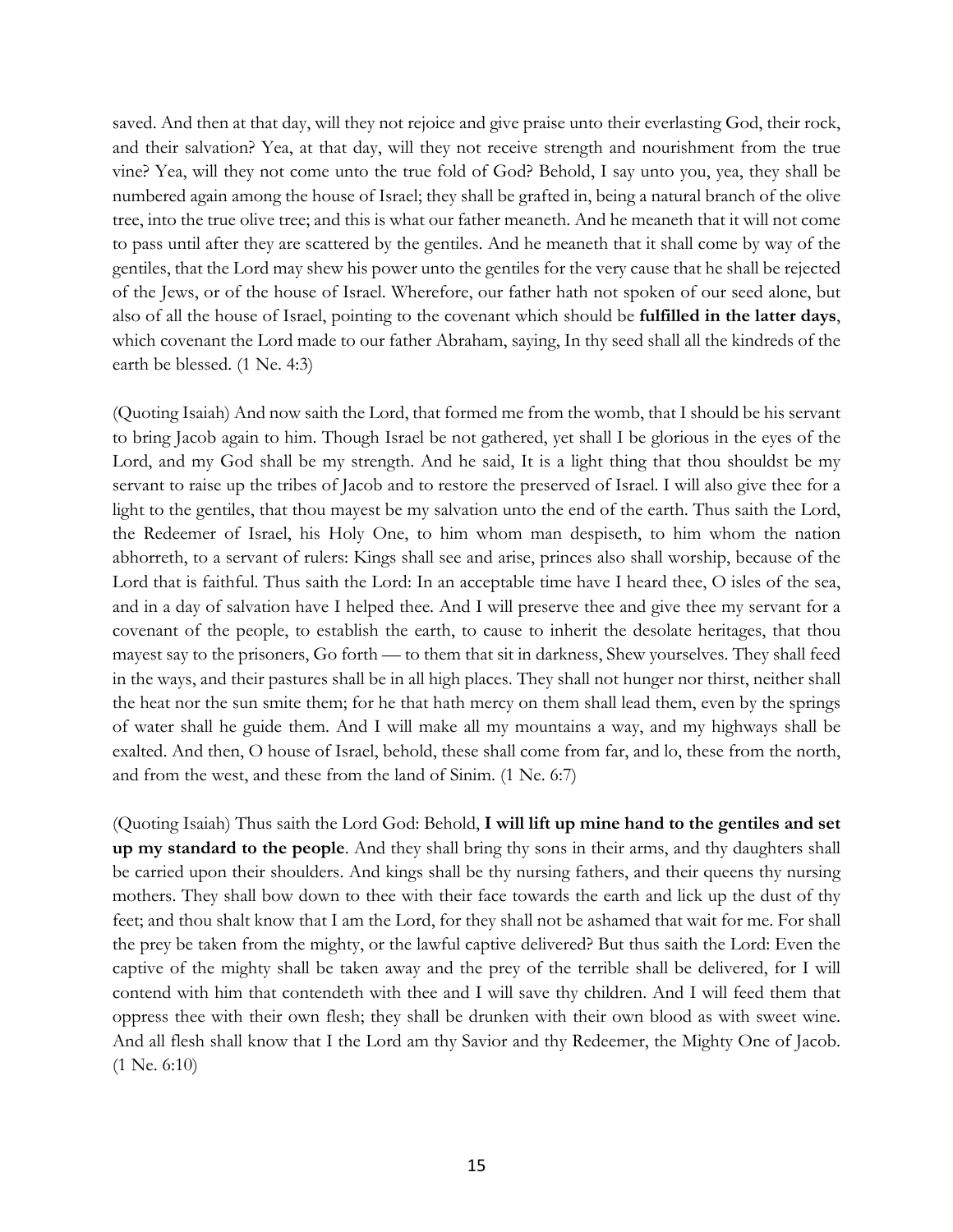saved. And then at that day, will they not rejoice and give praise unto their everlasting God, their rock, and their salvation? Yea, at that day, will they not receive strength and nourishment from the true vine? Yea, will they not come unto the true fold of God? Behold, I say unto you, yea, they shall be numbered again among the house of Israel; they shall be grafted in, being a natural branch of the olive tree, into the true olive tree; and this is what our father meaneth. And he meaneth that it will not come to pass until after they are scattered by the gentiles. And he meaneth that it shall come by way of the gentiles, that the Lord may shew his power unto the gentiles for the very cause that he shall be rejected of the Jews, or of the house of Israel. Wherefore, our father hath not spoken of our seed alone, but also of all the house of Israel, pointing to the covenant which should be **fulfilled in the latter days**, which covenant the Lord made to our father Abraham, saying, In thy seed shall all the kindreds of the earth be blessed. (1 Ne. 4:3)

(Quoting Isaiah) And now saith the Lord, that formed me from the womb, that I should be his servant to bring Jacob again to him. Though Israel be not gathered, yet shall I be glorious in the eyes of the Lord, and my God shall be my strength. And he said, It is a light thing that thou shouldst be my servant to raise up the tribes of Jacob and to restore the preserved of Israel. I will also give thee for a light to the gentiles, that thou mayest be my salvation unto the end of the earth. Thus saith the Lord, the Redeemer of Israel, his Holy One, to him whom man despiseth, to him whom the nation abhorreth, to a servant of rulers: Kings shall see and arise, princes also shall worship, because of the Lord that is faithful. Thus saith the Lord: In an acceptable time have I heard thee, O isles of the sea, and in a day of salvation have I helped thee. And I will preserve thee and give thee my servant for a covenant of the people, to establish the earth, to cause to inherit the desolate heritages, that thou mayest say to the prisoners, Go forth — to them that sit in darkness, Shew yourselves. They shall feed in the ways, and their pastures shall be in all high places. They shall not hunger nor thirst, neither shall the heat nor the sun smite them; for he that hath mercy on them shall lead them, even by the springs of water shall he guide them. And I will make all my mountains a way, and my highways shall be exalted. And then, O house of Israel, behold, these shall come from far, and lo, these from the north, and from the west, and these from the land of Sinim. (1 Ne. 6:7)

(Quoting Isaiah) Thus saith the Lord God: Behold, **I will lift up mine hand to the gentiles and set up my standard to the people**. And they shall bring thy sons in their arms, and thy daughters shall be carried upon their shoulders. And kings shall be thy nursing fathers, and their queens thy nursing mothers. They shall bow down to thee with their face towards the earth and lick up the dust of thy feet; and thou shalt know that I am the Lord, for they shall not be ashamed that wait for me. For shall the prey be taken from the mighty, or the lawful captive delivered? But thus saith the Lord: Even the captive of the mighty shall be taken away and the prey of the terrible shall be delivered, for I will contend with him that contendeth with thee and I will save thy children. And I will feed them that oppress thee with their own flesh; they shall be drunken with their own blood as with sweet wine. And all flesh shall know that I the Lord am thy Savior and thy Redeemer, the Mighty One of Jacob. (1 Ne. 6:10)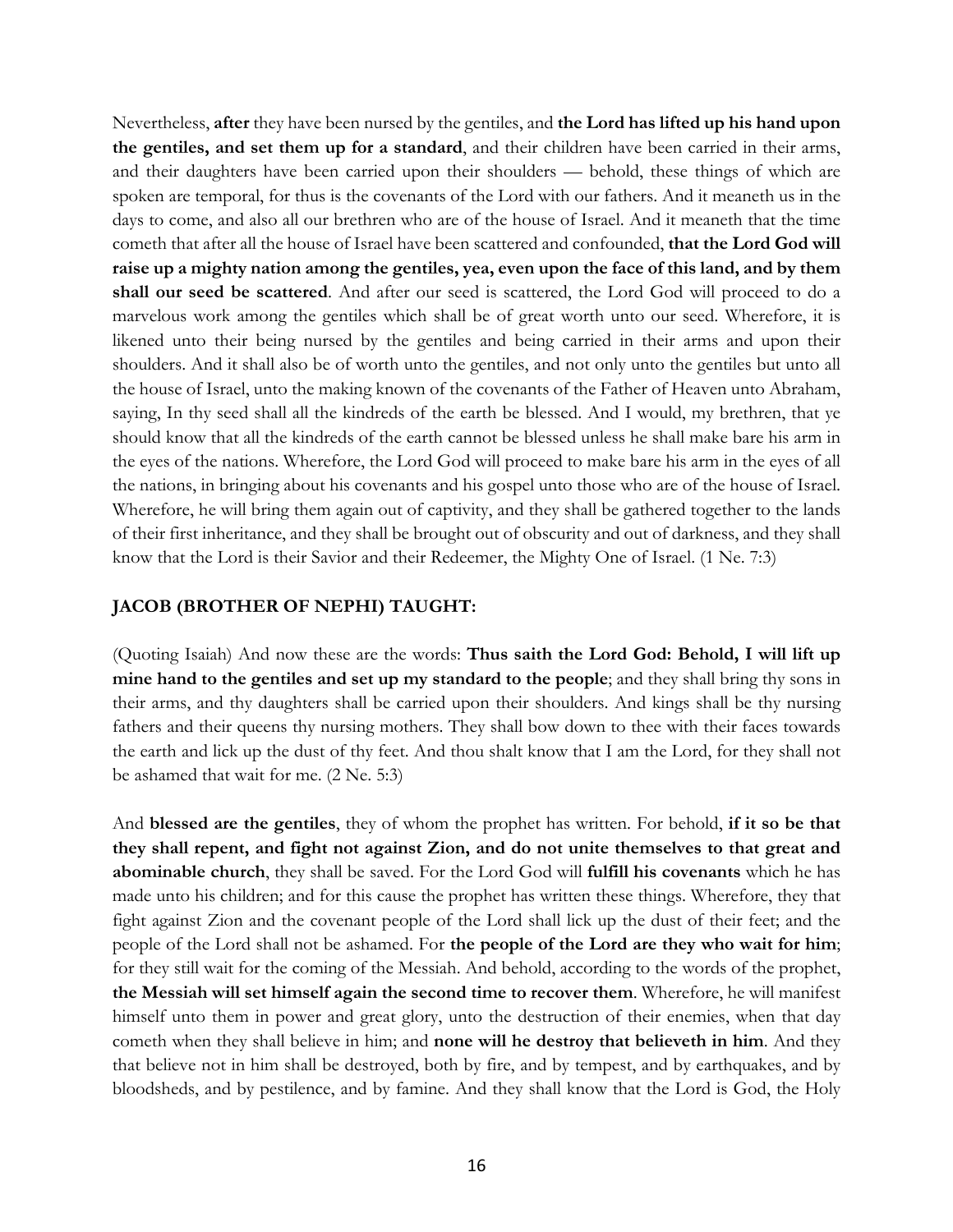Nevertheless, **after** they have been nursed by the gentiles, and **the Lord has lifted up his hand upon the gentiles, and set them up for a standard**, and their children have been carried in their arms, and their daughters have been carried upon their shoulders — behold, these things of which are spoken are temporal, for thus is the covenants of the Lord with our fathers. And it meaneth us in the days to come, and also all our brethren who are of the house of Israel. And it meaneth that the time cometh that after all the house of Israel have been scattered and confounded, **that the Lord God will raise up a mighty nation among the gentiles, yea, even upon the face of this land, and by them shall our seed be scattered**. And after our seed is scattered, the Lord God will proceed to do a marvelous work among the gentiles which shall be of great worth unto our seed. Wherefore, it is likened unto their being nursed by the gentiles and being carried in their arms and upon their shoulders. And it shall also be of worth unto the gentiles, and not only unto the gentiles but unto all the house of Israel, unto the making known of the covenants of the Father of Heaven unto Abraham, saying, In thy seed shall all the kindreds of the earth be blessed. And I would, my brethren, that ye should know that all the kindreds of the earth cannot be blessed unless he shall make bare his arm in the eyes of the nations. Wherefore, the Lord God will proceed to make bare his arm in the eyes of all the nations, in bringing about his covenants and his gospel unto those who are of the house of Israel. Wherefore, he will bring them again out of captivity, and they shall be gathered together to the lands of their first inheritance, and they shall be brought out of obscurity and out of darkness, and they shall know that the Lord is their Savior and their Redeemer, the Mighty One of Israel. (1 Ne. 7:3)

#### **JACOB (BROTHER OF NEPHI) TAUGHT:**

(Quoting Isaiah) And now these are the words: **Thus saith the Lord God: Behold, I will lift up mine hand to the gentiles and set up my standard to the people**; and they shall bring thy sons in their arms, and thy daughters shall be carried upon their shoulders. And kings shall be thy nursing fathers and their queens thy nursing mothers. They shall bow down to thee with their faces towards the earth and lick up the dust of thy feet. And thou shalt know that I am the Lord, for they shall not be ashamed that wait for me. (2 Ne. 5:3)

And **blessed are the gentiles**, they of whom the prophet has written. For behold, **if it so be that they shall repent, and fight not against Zion, and do not unite themselves to that great and abominable church**, they shall be saved. For the Lord God will **fulfill his covenants** which he has made unto his children; and for this cause the prophet has written these things. Wherefore, they that fight against Zion and the covenant people of the Lord shall lick up the dust of their feet; and the people of the Lord shall not be ashamed. For **the people of the Lord are they who wait for him**; for they still wait for the coming of the Messiah. And behold, according to the words of the prophet, **the Messiah will set himself again the second time to recover them**. Wherefore, he will manifest himself unto them in power and great glory, unto the destruction of their enemies, when that day cometh when they shall believe in him; and **none will he destroy that believeth in him**. And they that believe not in him shall be destroyed, both by fire, and by tempest, and by earthquakes, and by bloodsheds, and by pestilence, and by famine. And they shall know that the Lord is God, the Holy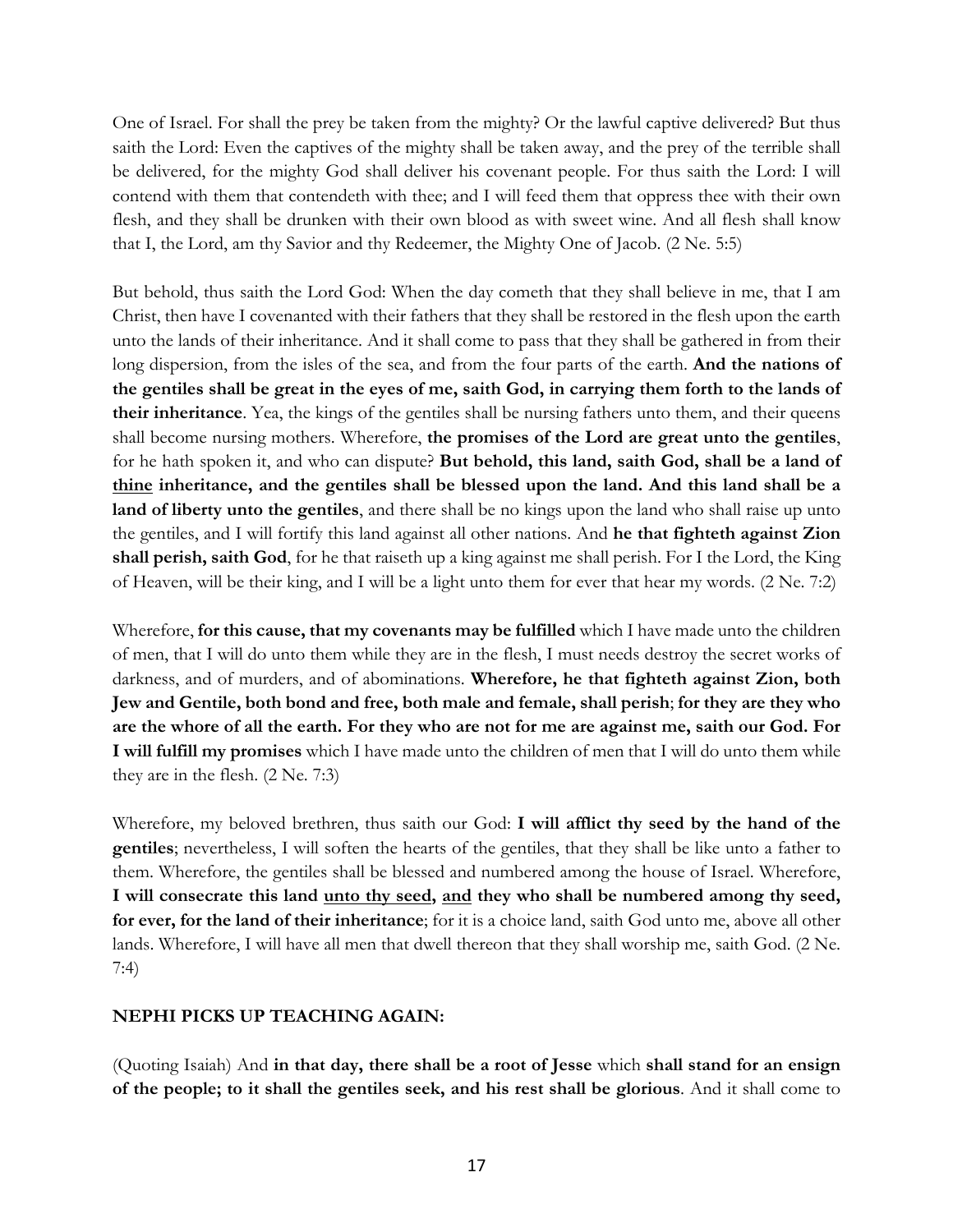One of Israel. For shall the prey be taken from the mighty? Or the lawful captive delivered? But thus saith the Lord: Even the captives of the mighty shall be taken away, and the prey of the terrible shall be delivered, for the mighty God shall deliver his covenant people. For thus saith the Lord: I will contend with them that contendeth with thee; and I will feed them that oppress thee with their own flesh, and they shall be drunken with their own blood as with sweet wine. And all flesh shall know that I, the Lord, am thy Savior and thy Redeemer, the Mighty One of Jacob. (2 Ne. 5:5)

But behold, thus saith the Lord God: When the day cometh that they shall believe in me, that I am Christ, then have I covenanted with their fathers that they shall be restored in the flesh upon the earth unto the lands of their inheritance. And it shall come to pass that they shall be gathered in from their long dispersion, from the isles of the sea, and from the four parts of the earth. **And the nations of the gentiles shall be great in the eyes of me, saith God, in carrying them forth to the lands of their inheritance**. Yea, the kings of the gentiles shall be nursing fathers unto them, and their queens shall become nursing mothers. Wherefore, **the promises of the Lord are great unto the gentiles**, for he hath spoken it, and who can dispute? **But behold, this land, saith God, shall be a land of thine inheritance, and the gentiles shall be blessed upon the land. And this land shall be a land of liberty unto the gentiles**, and there shall be no kings upon the land who shall raise up unto the gentiles, and I will fortify this land against all other nations. And **he that fighteth against Zion shall perish, saith God**, for he that raiseth up a king against me shall perish. For I the Lord, the King of Heaven, will be their king, and I will be a light unto them for ever that hear my words. (2 Ne. 7:2)

Wherefore, **for this cause, that my covenants may be fulfilled** which I have made unto the children of men, that I will do unto them while they are in the flesh, I must needs destroy the secret works of darkness, and of murders, and of abominations. **Wherefore, he that fighteth against Zion, both Jew and Gentile, both bond and free, both male and female, shall perish**; **for they are they who are the whore of all the earth. For they who are not for me are against me, saith our God. For I will fulfill my promises** which I have made unto the children of men that I will do unto them while they are in the flesh. (2 Ne. 7:3)

Wherefore, my beloved brethren, thus saith our God: **I will afflict thy seed by the hand of the gentiles**; nevertheless, I will soften the hearts of the gentiles, that they shall be like unto a father to them. Wherefore, the gentiles shall be blessed and numbered among the house of Israel. Wherefore, **I will consecrate this land unto thy seed, and they who shall be numbered among thy seed, for ever, for the land of their inheritance**; for it is a choice land, saith God unto me, above all other lands. Wherefore, I will have all men that dwell thereon that they shall worship me, saith God. (2 Ne. 7:4)

## **NEPHI PICKS UP TEACHING AGAIN:**

(Quoting Isaiah) And **in that day, there shall be a root of Jesse** which **shall stand for an ensign of the people; to it shall the gentiles seek, and his rest shall be glorious**. And it shall come to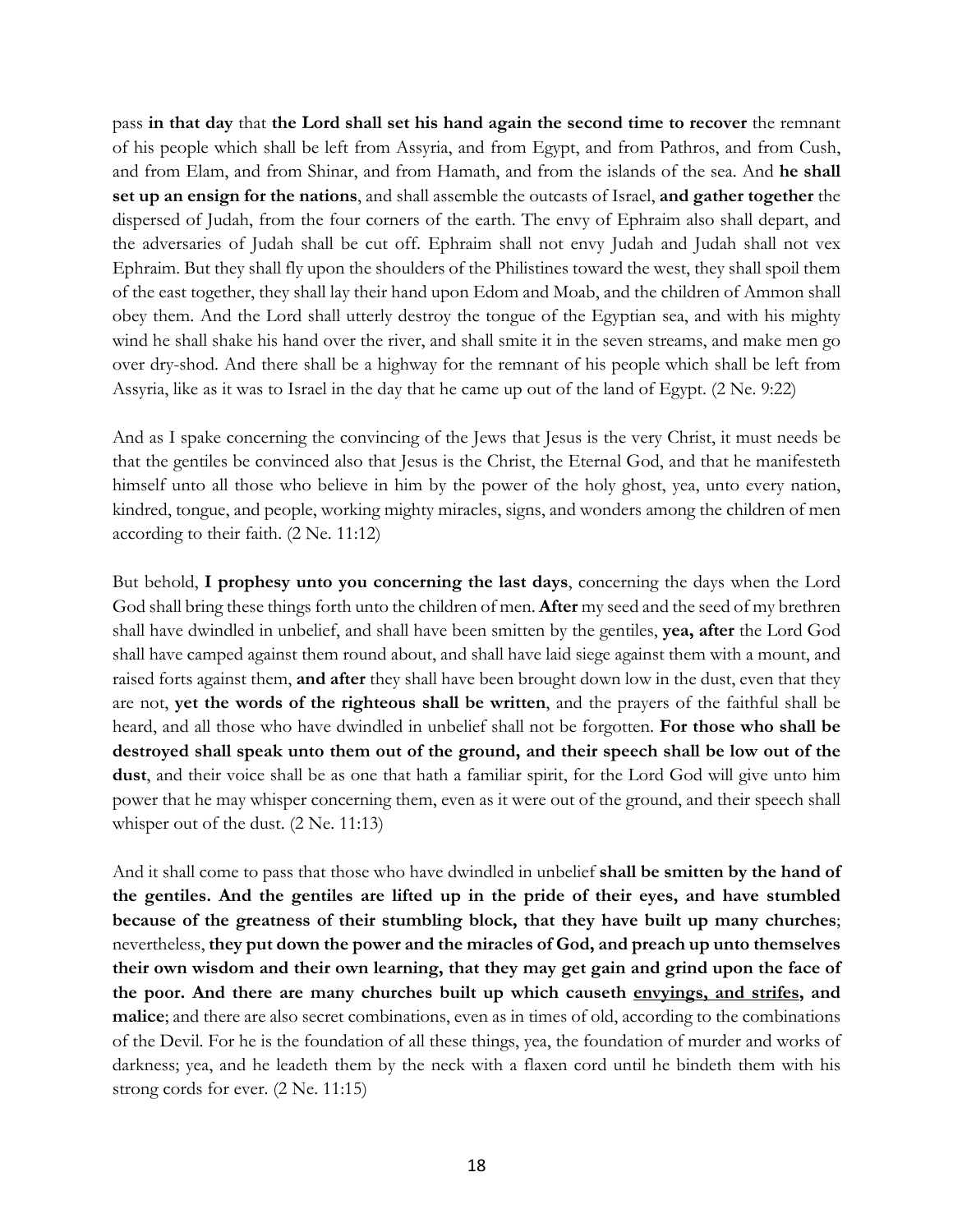pass **in that day** that **the Lord shall set his hand again the second time to recover** the remnant of his people which shall be left from Assyria, and from Egypt, and from Pathros, and from Cush, and from Elam, and from Shinar, and from Hamath, and from the islands of the sea. And **he shall set up an ensign for the nations**, and shall assemble the outcasts of Israel, **and gather together** the dispersed of Judah, from the four corners of the earth. The envy of Ephraim also shall depart, and the adversaries of Judah shall be cut off. Ephraim shall not envy Judah and Judah shall not vex Ephraim. But they shall fly upon the shoulders of the Philistines toward the west, they shall spoil them of the east together, they shall lay their hand upon Edom and Moab, and the children of Ammon shall obey them. And the Lord shall utterly destroy the tongue of the Egyptian sea, and with his mighty wind he shall shake his hand over the river, and shall smite it in the seven streams, and make men go over dry-shod. And there shall be a highway for the remnant of his people which shall be left from Assyria, like as it was to Israel in the day that he came up out of the land of Egypt. (2 Ne. 9:22)

And as I spake concerning the convincing of the Jews that Jesus is the very Christ, it must needs be that the gentiles be convinced also that Jesus is the Christ, the Eternal God, and that he manifesteth himself unto all those who believe in him by the power of the holy ghost, yea, unto every nation, kindred, tongue, and people, working mighty miracles, signs, and wonders among the children of men according to their faith. (2 Ne. 11:12)

But behold, **I prophesy unto you concerning the last days**, concerning the days when the Lord God shall bring these things forth unto the children of men. **After** my seed and the seed of my brethren shall have dwindled in unbelief, and shall have been smitten by the gentiles, **yea, after** the Lord God shall have camped against them round about, and shall have laid siege against them with a mount, and raised forts against them, **and after** they shall have been brought down low in the dust, even that they are not, **yet the words of the righteous shall be written**, and the prayers of the faithful shall be heard, and all those who have dwindled in unbelief shall not be forgotten. **For those who shall be destroyed shall speak unto them out of the ground, and their speech shall be low out of the dust**, and their voice shall be as one that hath a familiar spirit, for the Lord God will give unto him power that he may whisper concerning them, even as it were out of the ground, and their speech shall whisper out of the dust. (2 Ne. 11:13)

And it shall come to pass that those who have dwindled in unbelief **shall be smitten by the hand of the gentiles. And the gentiles are lifted up in the pride of their eyes, and have stumbled because of the greatness of their stumbling block, that they have built up many churches**; nevertheless, **they put down the power and the miracles of God, and preach up unto themselves their own wisdom and their own learning, that they may get gain and grind upon the face of the poor. And there are many churches built up which causeth envyings, and strifes, and malice**; and there are also secret combinations, even as in times of old, according to the combinations of the Devil. For he is the foundation of all these things, yea, the foundation of murder and works of darkness; yea, and he leadeth them by the neck with a flaxen cord until he bindeth them with his strong cords for ever. (2 Ne. 11:15)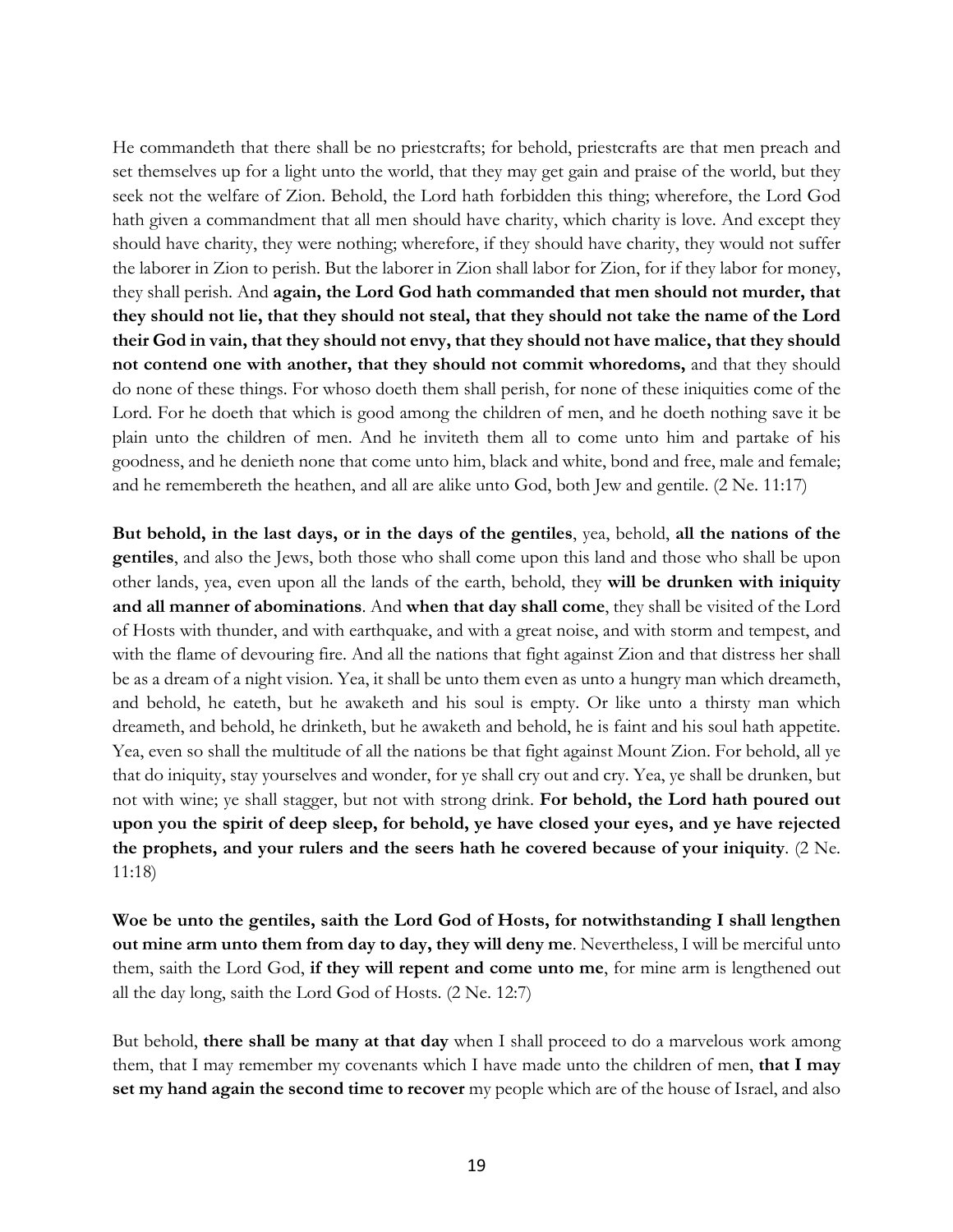He commandeth that there shall be no priestcrafts; for behold, priestcrafts are that men preach and set themselves up for a light unto the world, that they may get gain and praise of the world, but they seek not the welfare of Zion. Behold, the Lord hath forbidden this thing; wherefore, the Lord God hath given a commandment that all men should have charity, which charity is love. And except they should have charity, they were nothing; wherefore, if they should have charity, they would not suffer the laborer in Zion to perish. But the laborer in Zion shall labor for Zion, for if they labor for money, they shall perish. And **again, the Lord God hath commanded that men should not murder, that they should not lie, that they should not steal, that they should not take the name of the Lord their God in vain, that they should not envy, that they should not have malice, that they should not contend one with another, that they should not commit whoredoms,** and that they should do none of these things. For whoso doeth them shall perish, for none of these iniquities come of the Lord. For he doeth that which is good among the children of men, and he doeth nothing save it be plain unto the children of men. And he inviteth them all to come unto him and partake of his goodness, and he denieth none that come unto him, black and white, bond and free, male and female; and he remembereth the heathen, and all are alike unto God, both Jew and gentile. (2 Ne. 11:17)

**But behold, in the last days, or in the days of the gentiles**, yea, behold, **all the nations of the gentiles**, and also the Jews, both those who shall come upon this land and those who shall be upon other lands, yea, even upon all the lands of the earth, behold, they **will be drunken with iniquity and all manner of abominations**. And **when that day shall come**, they shall be visited of the Lord of Hosts with thunder, and with earthquake, and with a great noise, and with storm and tempest, and with the flame of devouring fire. And all the nations that fight against Zion and that distress her shall be as a dream of a night vision. Yea, it shall be unto them even as unto a hungry man which dreameth, and behold, he eateth, but he awaketh and his soul is empty. Or like unto a thirsty man which dreameth, and behold, he drinketh, but he awaketh and behold, he is faint and his soul hath appetite. Yea, even so shall the multitude of all the nations be that fight against Mount Zion. For behold, all ye that do iniquity, stay yourselves and wonder, for ye shall cry out and cry. Yea, ye shall be drunken, but not with wine; ye shall stagger, but not with strong drink. **For behold, the Lord hath poured out upon you the spirit of deep sleep, for behold, ye have closed your eyes, and ye have rejected the prophets, and your rulers and the seers hath he covered because of your iniquity**. (2 Ne. 11:18)

**Woe be unto the gentiles, saith the Lord God of Hosts, for notwithstanding I shall lengthen out mine arm unto them from day to day, they will deny me**. Nevertheless, I will be merciful unto them, saith the Lord God, **if they will repent and come unto me**, for mine arm is lengthened out all the day long, saith the Lord God of Hosts. (2 Ne. 12:7)

But behold, **there shall be many at that day** when I shall proceed to do a marvelous work among them, that I may remember my covenants which I have made unto the children of men, **that I may set my hand again the second time to recover** my people which are of the house of Israel, and also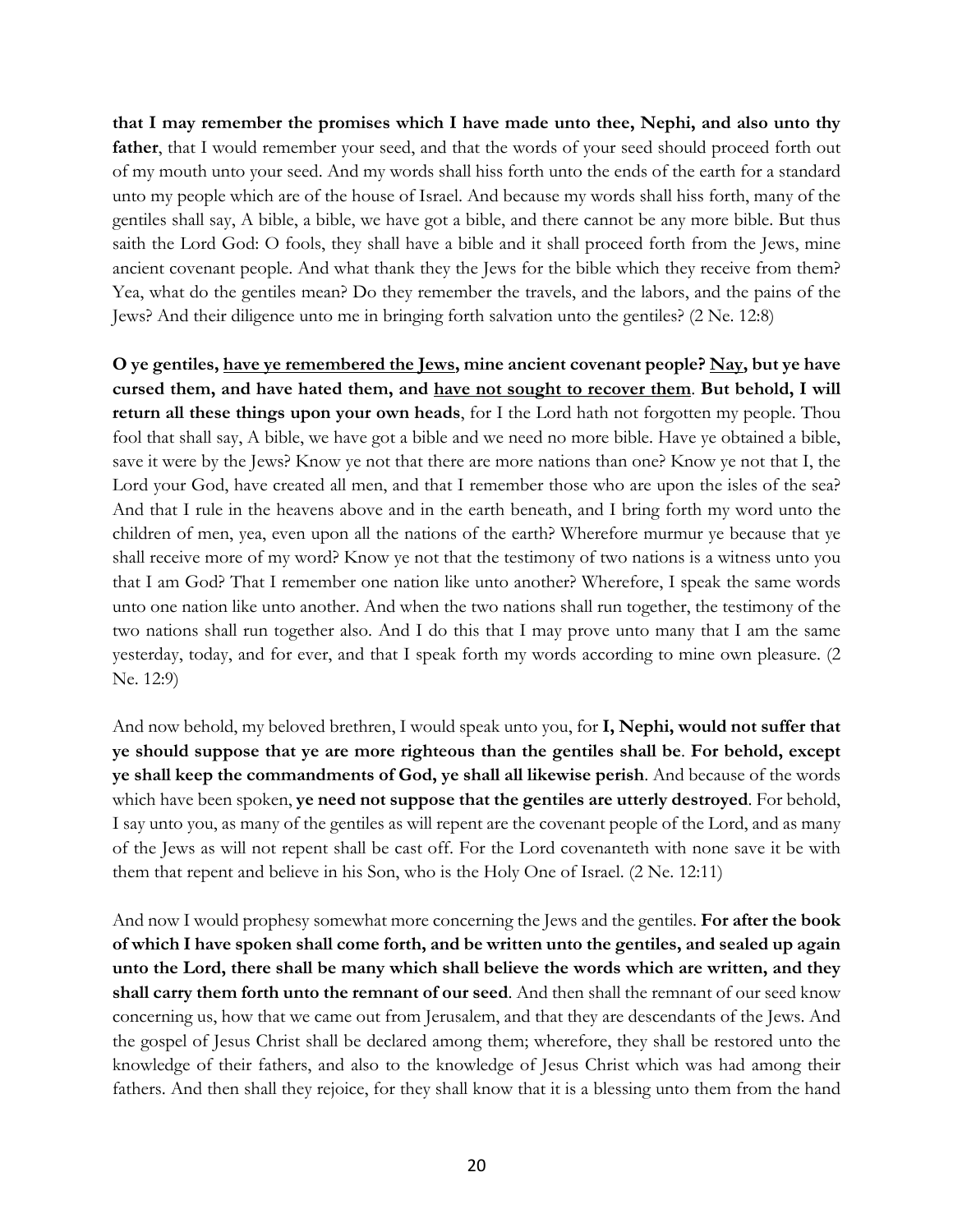**that I may remember the promises which I have made unto thee, Nephi, and also unto thy**  father, that I would remember your seed, and that the words of your seed should proceed forth out of my mouth unto your seed. And my words shall hiss forth unto the ends of the earth for a standard unto my people which are of the house of Israel. And because my words shall hiss forth, many of the gentiles shall say, A bible, a bible, we have got a bible, and there cannot be any more bible. But thus saith the Lord God: O fools, they shall have a bible and it shall proceed forth from the Jews, mine ancient covenant people. And what thank they the Jews for the bible which they receive from them? Yea, what do the gentiles mean? Do they remember the travels, and the labors, and the pains of the Jews? And their diligence unto me in bringing forth salvation unto the gentiles? (2 Ne. 12:8)

**O** ye gentiles, have ye remembered the Jews, mine ancient covenant people? Nay, but ye have **cursed them, and have hated them, and have not sought to recover them**. **But behold, I will return all these things upon your own heads**, for I the Lord hath not forgotten my people. Thou fool that shall say, A bible, we have got a bible and we need no more bible. Have ye obtained a bible, save it were by the Jews? Know ye not that there are more nations than one? Know ye not that I, the Lord your God, have created all men, and that I remember those who are upon the isles of the sea? And that I rule in the heavens above and in the earth beneath, and I bring forth my word unto the children of men, yea, even upon all the nations of the earth? Wherefore murmur ye because that ye shall receive more of my word? Know ye not that the testimony of two nations is a witness unto you that I am God? That I remember one nation like unto another? Wherefore, I speak the same words unto one nation like unto another. And when the two nations shall run together, the testimony of the two nations shall run together also. And I do this that I may prove unto many that I am the same yesterday, today, and for ever, and that I speak forth my words according to mine own pleasure. (2 Ne. 12:9)

And now behold, my beloved brethren, I would speak unto you, for **I, Nephi, would not suffer that ye should suppose that ye are more righteous than the gentiles shall be**. **For behold, except ye shall keep the commandments of God, ye shall all likewise perish**. And because of the words which have been spoken, **ye need not suppose that the gentiles are utterly destroyed**. For behold, I say unto you, as many of the gentiles as will repent are the covenant people of the Lord, and as many of the Jews as will not repent shall be cast off. For the Lord covenanteth with none save it be with them that repent and believe in his Son, who is the Holy One of Israel. (2 Ne. 12:11)

And now I would prophesy somewhat more concerning the Jews and the gentiles. **For after the book of which I have spoken shall come forth, and be written unto the gentiles, and sealed up again unto the Lord, there shall be many which shall believe the words which are written, and they shall carry them forth unto the remnant of our seed**. And then shall the remnant of our seed know concerning us, how that we came out from Jerusalem, and that they are descendants of the Jews. And the gospel of Jesus Christ shall be declared among them; wherefore, they shall be restored unto the knowledge of their fathers, and also to the knowledge of Jesus Christ which was had among their fathers. And then shall they rejoice, for they shall know that it is a blessing unto them from the hand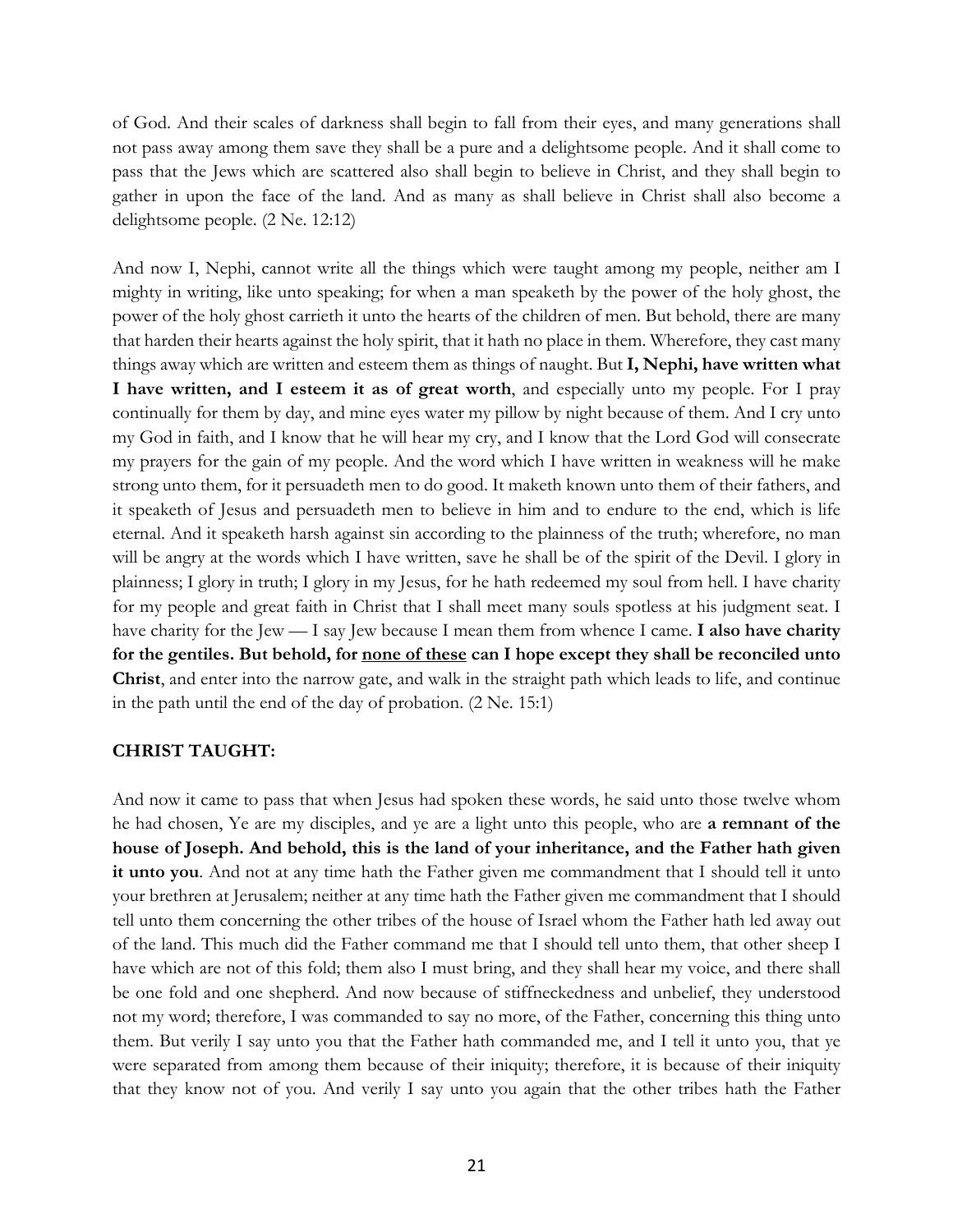of God. And their scales of darkness shall begin to fall from their eyes, and many generations shall not pass away among them save they shall be a pure and a delightsome people. And it shall come to pass that the Jews which are scattered also shall begin to believe in Christ, and they shall begin to gather in upon the face of the land. And as many as shall believe in Christ shall also become a delightsome people. (2 Ne. 12:12)

And now I, Nephi, cannot write all the things which were taught among my people, neither am I mighty in writing, like unto speaking; for when a man speaketh by the power of the holy ghost, the power of the holy ghost carrieth it unto the hearts of the children of men. But behold, there are many that harden their hearts against the holy spirit, that it hath no place in them. Wherefore, they cast many things away which are written and esteem them as things of naught. But **I, Nephi, have written what I have written, and I esteem it as of great worth**, and especially unto my people. For I pray continually for them by day, and mine eyes water my pillow by night because of them. And I cry unto my God in faith, and I know that he will hear my cry, and I know that the Lord God will consecrate my prayers for the gain of my people. And the word which I have written in weakness will he make strong unto them, for it persuadeth men to do good. It maketh known unto them of their fathers, and it speaketh of Jesus and persuadeth men to believe in him and to endure to the end, which is life eternal. And it speaketh harsh against sin according to the plainness of the truth; wherefore, no man will be angry at the words which I have written, save he shall be of the spirit of the Devil. I glory in plainness; I glory in truth; I glory in my Jesus, for he hath redeemed my soul from hell. I have charity for my people and great faith in Christ that I shall meet many souls spotless at his judgment seat. I have charity for the Jew — I say Jew because I mean them from whence I came. **I also have charity for the gentiles. But behold, for none of these can I hope except they shall be reconciled unto Christ**, and enter into the narrow gate, and walk in the straight path which leads to life, and continue in the path until the end of the day of probation. (2 Ne. 15:1)

#### **CHRIST TAUGHT:**

And now it came to pass that when Jesus had spoken these words, he said unto those twelve whom he had chosen, Ye are my disciples, and ye are a light unto this people, who are **a remnant of the house of Joseph. And behold, this is the land of your inheritance, and the Father hath given it unto you**. And not at any time hath the Father given me commandment that I should tell it unto your brethren at Jerusalem; neither at any time hath the Father given me commandment that I should tell unto them concerning the other tribes of the house of Israel whom the Father hath led away out of the land. This much did the Father command me that I should tell unto them, that other sheep I have which are not of this fold; them also I must bring, and they shall hear my voice, and there shall be one fold and one shepherd. And now because of stiffneckedness and unbelief, they understood not my word; therefore, I was commanded to say no more, of the Father, concerning this thing unto them. But verily I say unto you that the Father hath commanded me, and I tell it unto you, that ye were separated from among them because of their iniquity; therefore, it is because of their iniquity that they know not of you. And verily I say unto you again that the other tribes hath the Father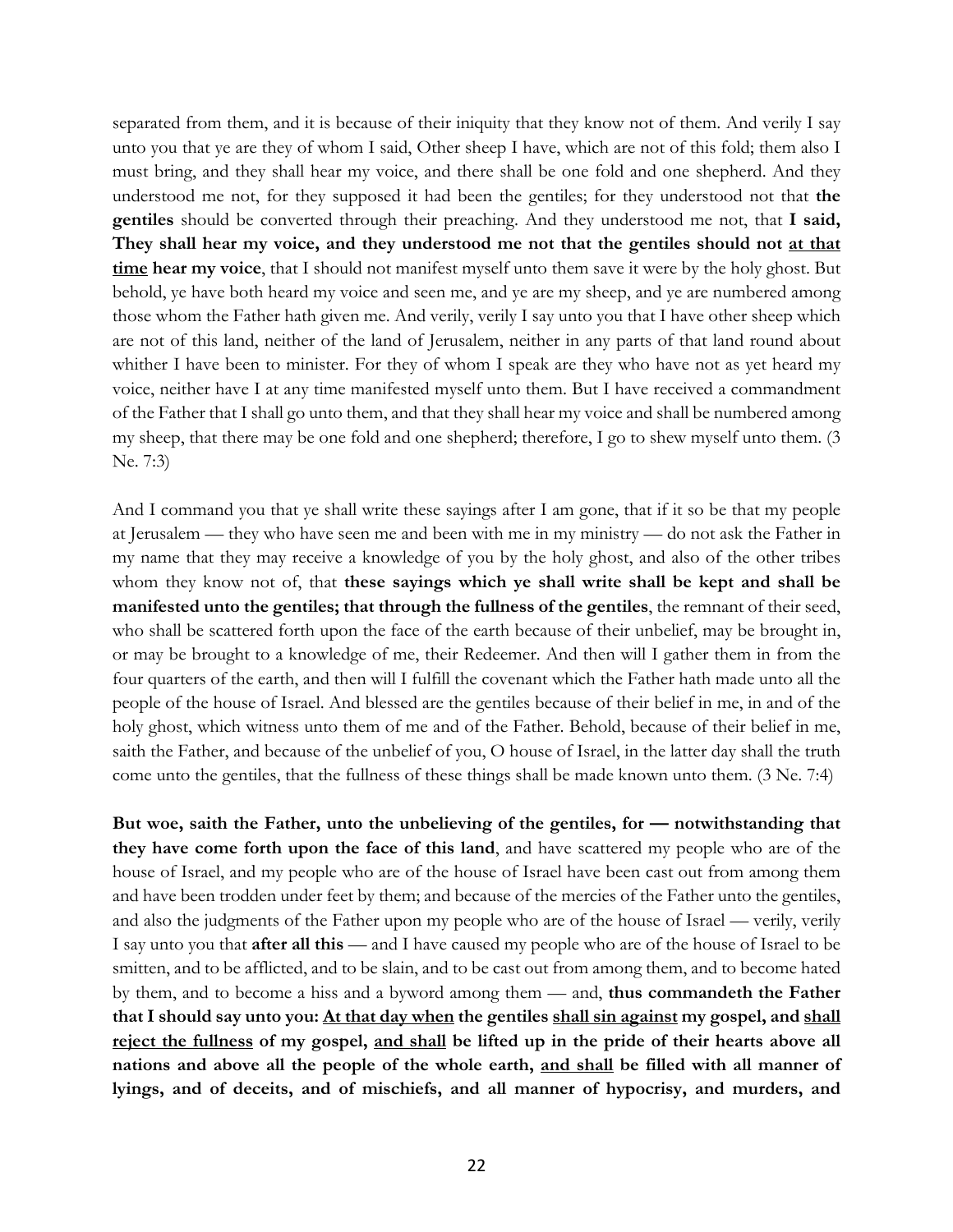separated from them, and it is because of their iniquity that they know not of them. And verily I say unto you that ye are they of whom I said, Other sheep I have, which are not of this fold; them also I must bring, and they shall hear my voice, and there shall be one fold and one shepherd. And they understood me not, for they supposed it had been the gentiles; for they understood not that **the gentiles** should be converted through their preaching. And they understood me not, that **I said, They shall hear my voice, and they understood me not that the gentiles should not at that time hear my voice**, that I should not manifest myself unto them save it were by the holy ghost. But behold, ye have both heard my voice and seen me, and ye are my sheep, and ye are numbered among those whom the Father hath given me. And verily, verily I say unto you that I have other sheep which are not of this land, neither of the land of Jerusalem, neither in any parts of that land round about whither I have been to minister. For they of whom I speak are they who have not as yet heard my voice, neither have I at any time manifested myself unto them. But I have received a commandment of the Father that I shall go unto them, and that they shall hear my voice and shall be numbered among my sheep, that there may be one fold and one shepherd; therefore, I go to shew myself unto them. (3 Ne. 7:3)

And I command you that ye shall write these sayings after I am gone, that if it so be that my people at Jerusalem — they who have seen me and been with me in my ministry — do not ask the Father in my name that they may receive a knowledge of you by the holy ghost, and also of the other tribes whom they know not of, that **these sayings which ye shall write shall be kept and shall be manifested unto the gentiles; that through the fullness of the gentiles**, the remnant of their seed, who shall be scattered forth upon the face of the earth because of their unbelief, may be brought in, or may be brought to a knowledge of me, their Redeemer. And then will I gather them in from the four quarters of the earth, and then will I fulfill the covenant which the Father hath made unto all the people of the house of Israel. And blessed are the gentiles because of their belief in me, in and of the holy ghost, which witness unto them of me and of the Father. Behold, because of their belief in me, saith the Father, and because of the unbelief of you, O house of Israel, in the latter day shall the truth come unto the gentiles, that the fullness of these things shall be made known unto them. (3 Ne. 7:4)

**But woe, saith the Father, unto the unbelieving of the gentiles, for — notwithstanding that they have come forth upon the face of this land**, and have scattered my people who are of the house of Israel, and my people who are of the house of Israel have been cast out from among them and have been trodden under feet by them; and because of the mercies of the Father unto the gentiles, and also the judgments of the Father upon my people who are of the house of Israel — verily, verily I say unto you that **after all this** — and I have caused my people who are of the house of Israel to be smitten, and to be afflicted, and to be slain, and to be cast out from among them, and to become hated by them, and to become a hiss and a byword among them — and, **thus commandeth the Father that I should say unto you: At that day when the gentiles shall sin against my gospel, and shall reject the fullness of my gospel, and shall be lifted up in the pride of their hearts above all nations and above all the people of the whole earth, and shall be filled with all manner of lyings, and of deceits, and of mischiefs, and all manner of hypocrisy, and murders, and**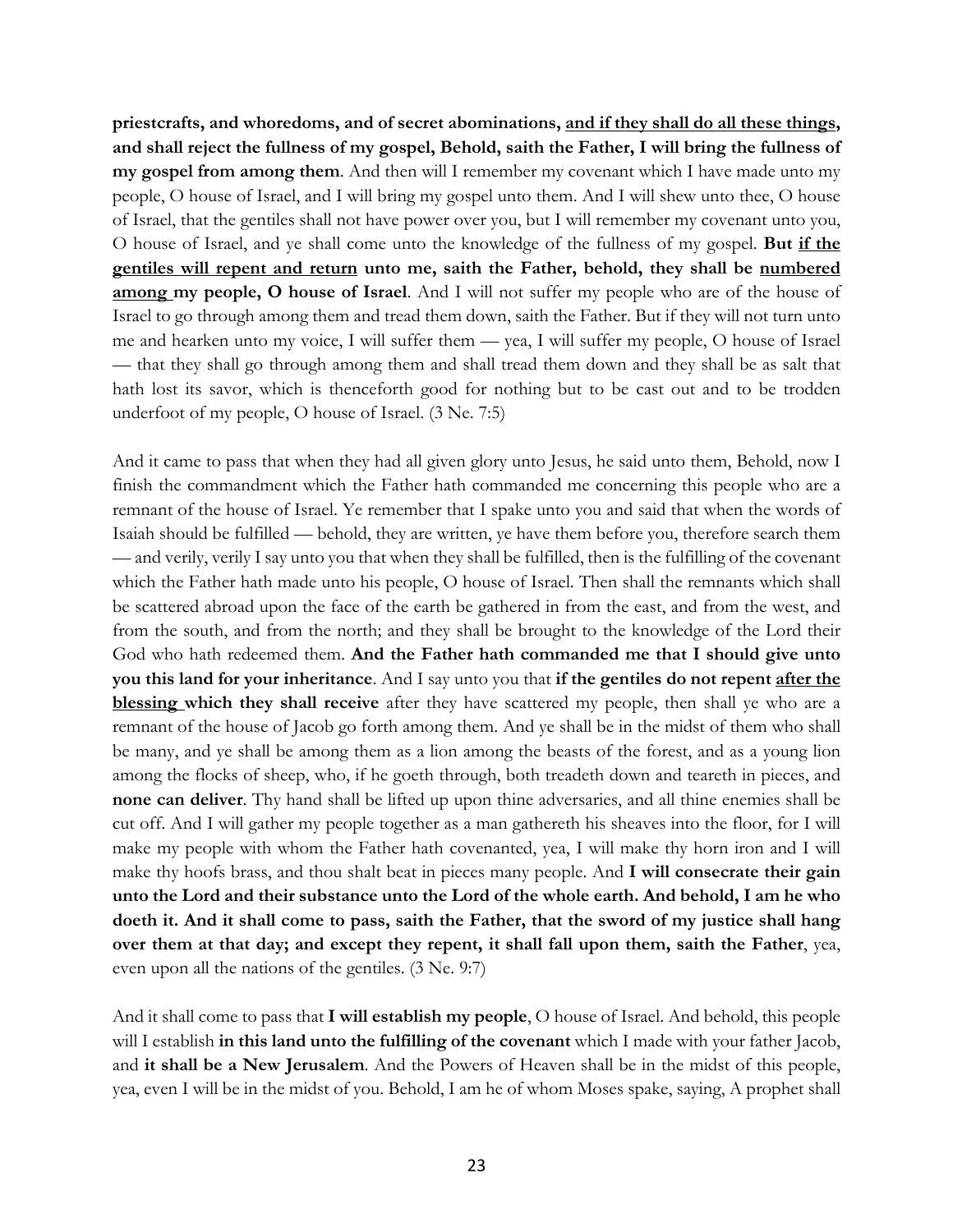**priestcrafts, and whoredoms, and of secret abominations, and if they shall do all these things, and shall reject the fullness of my gospel, Behold, saith the Father, I will bring the fullness of my gospel from among them**. And then will I remember my covenant which I have made unto my people, O house of Israel, and I will bring my gospel unto them. And I will shew unto thee, O house of Israel, that the gentiles shall not have power over you, but I will remember my covenant unto you, O house of Israel, and ye shall come unto the knowledge of the fullness of my gospel. **But if the gentiles will repent and return unto me, saith the Father, behold, they shall be numbered among my people, O house of Israel**. And I will not suffer my people who are of the house of Israel to go through among them and tread them down, saith the Father. But if they will not turn unto me and hearken unto my voice, I will suffer them — yea, I will suffer my people, O house of Israel — that they shall go through among them and shall tread them down and they shall be as salt that hath lost its savor, which is thenceforth good for nothing but to be cast out and to be trodden underfoot of my people, O house of Israel. (3 Ne. 7:5)

And it came to pass that when they had all given glory unto Jesus, he said unto them, Behold, now I finish the commandment which the Father hath commanded me concerning this people who are a remnant of the house of Israel. Ye remember that I spake unto you and said that when the words of Isaiah should be fulfilled — behold, they are written, ye have them before you, therefore search them — and verily, verily I say unto you that when they shall be fulfilled, then is the fulfilling of the covenant which the Father hath made unto his people, O house of Israel. Then shall the remnants which shall be scattered abroad upon the face of the earth be gathered in from the east, and from the west, and from the south, and from the north; and they shall be brought to the knowledge of the Lord their God who hath redeemed them. **And the Father hath commanded me that I should give unto you this land for your inheritance**. And I say unto you that **if the gentiles do not repent after the blessing which they shall receive** after they have scattered my people, then shall ye who are a remnant of the house of Jacob go forth among them. And ye shall be in the midst of them who shall be many, and ye shall be among them as a lion among the beasts of the forest, and as a young lion among the flocks of sheep, who, if he goeth through, both treadeth down and teareth in pieces, and **none can deliver**. Thy hand shall be lifted up upon thine adversaries, and all thine enemies shall be cut off. And I will gather my people together as a man gathereth his sheaves into the floor, for I will make my people with whom the Father hath covenanted, yea, I will make thy horn iron and I will make thy hoofs brass, and thou shalt beat in pieces many people. And **I will consecrate their gain unto the Lord and their substance unto the Lord of the whole earth. And behold, I am he who doeth it. And it shall come to pass, saith the Father, that the sword of my justice shall hang over them at that day; and except they repent, it shall fall upon them, saith the Father**, yea, even upon all the nations of the gentiles. (3 Ne. 9:7)

And it shall come to pass that **I will establish my people**, O house of Israel. And behold, this people will I establish **in this land unto the fulfilling of the covenant** which I made with your father Jacob, and **it shall be a New Jerusalem**. And the Powers of Heaven shall be in the midst of this people, yea, even I will be in the midst of you. Behold, I am he of whom Moses spake, saying, A prophet shall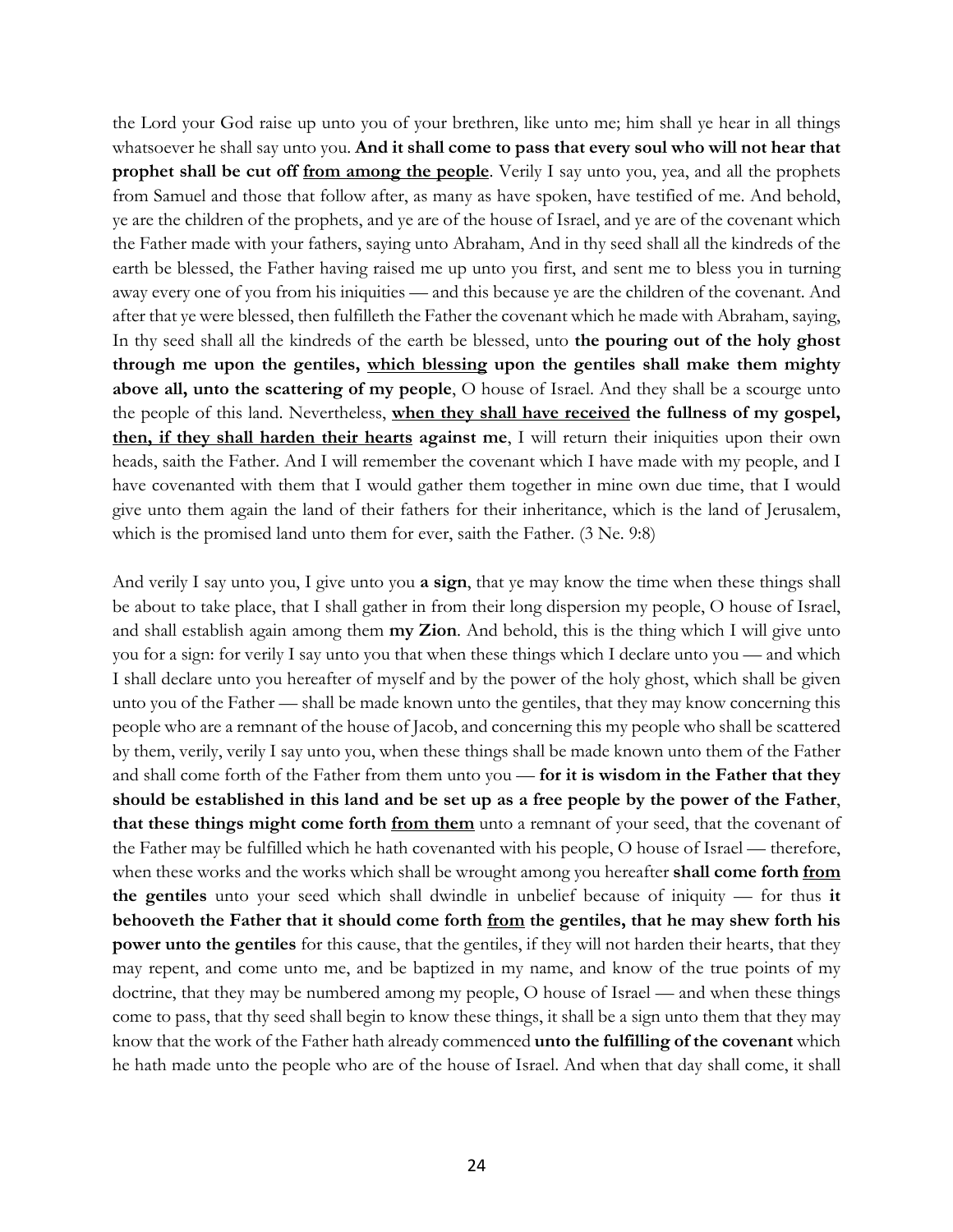the Lord your God raise up unto you of your brethren, like unto me; him shall ye hear in all things whatsoever he shall say unto you. **And it shall come to pass that every soul who will not hear that prophet shall be cut off from among the people**. Verily I say unto you, yea, and all the prophets from Samuel and those that follow after, as many as have spoken, have testified of me. And behold, ye are the children of the prophets, and ye are of the house of Israel, and ye are of the covenant which the Father made with your fathers, saying unto Abraham, And in thy seed shall all the kindreds of the earth be blessed, the Father having raised me up unto you first, and sent me to bless you in turning away every one of you from his iniquities — and this because ye are the children of the covenant. And after that ye were blessed, then fulfilleth the Father the covenant which he made with Abraham, saying, In thy seed shall all the kindreds of the earth be blessed, unto **the pouring out of the holy ghost through me upon the gentiles, which blessing upon the gentiles shall make them mighty above all, unto the scattering of my people**, O house of Israel. And they shall be a scourge unto the people of this land. Nevertheless, **when they shall have received the fullness of my gospel, then, if they shall harden their hearts against me**, I will return their iniquities upon their own heads, saith the Father. And I will remember the covenant which I have made with my people, and I have covenanted with them that I would gather them together in mine own due time, that I would give unto them again the land of their fathers for their inheritance, which is the land of Jerusalem, which is the promised land unto them for ever, saith the Father. (3 Ne. 9:8)

And verily I say unto you, I give unto you **a sign**, that ye may know the time when these things shall be about to take place, that I shall gather in from their long dispersion my people, O house of Israel, and shall establish again among them **my Zion**. And behold, this is the thing which I will give unto you for a sign: for verily I say unto you that when these things which I declare unto you — and which I shall declare unto you hereafter of myself and by the power of the holy ghost, which shall be given unto you of the Father — shall be made known unto the gentiles, that they may know concerning this people who are a remnant of the house of Jacob, and concerning this my people who shall be scattered by them, verily, verily I say unto you, when these things shall be made known unto them of the Father and shall come forth of the Father from them unto you — **for it is wisdom in the Father that they should be established in this land and be set up as a free people by the power of the Father**, **that these things might come forth from them** unto a remnant of your seed, that the covenant of the Father may be fulfilled which he hath covenanted with his people, O house of Israel — therefore, when these works and the works which shall be wrought among you hereafter **shall come forth from the gentiles** unto your seed which shall dwindle in unbelief because of iniquity — for thus **it behooveth the Father that it should come forth from the gentiles, that he may shew forth his power unto the gentiles** for this cause, that the gentiles, if they will not harden their hearts, that they may repent, and come unto me, and be baptized in my name, and know of the true points of my doctrine, that they may be numbered among my people, O house of Israel — and when these things come to pass, that thy seed shall begin to know these things, it shall be a sign unto them that they may know that the work of the Father hath already commenced **unto the fulfilling of the covenant** which he hath made unto the people who are of the house of Israel. And when that day shall come, it shall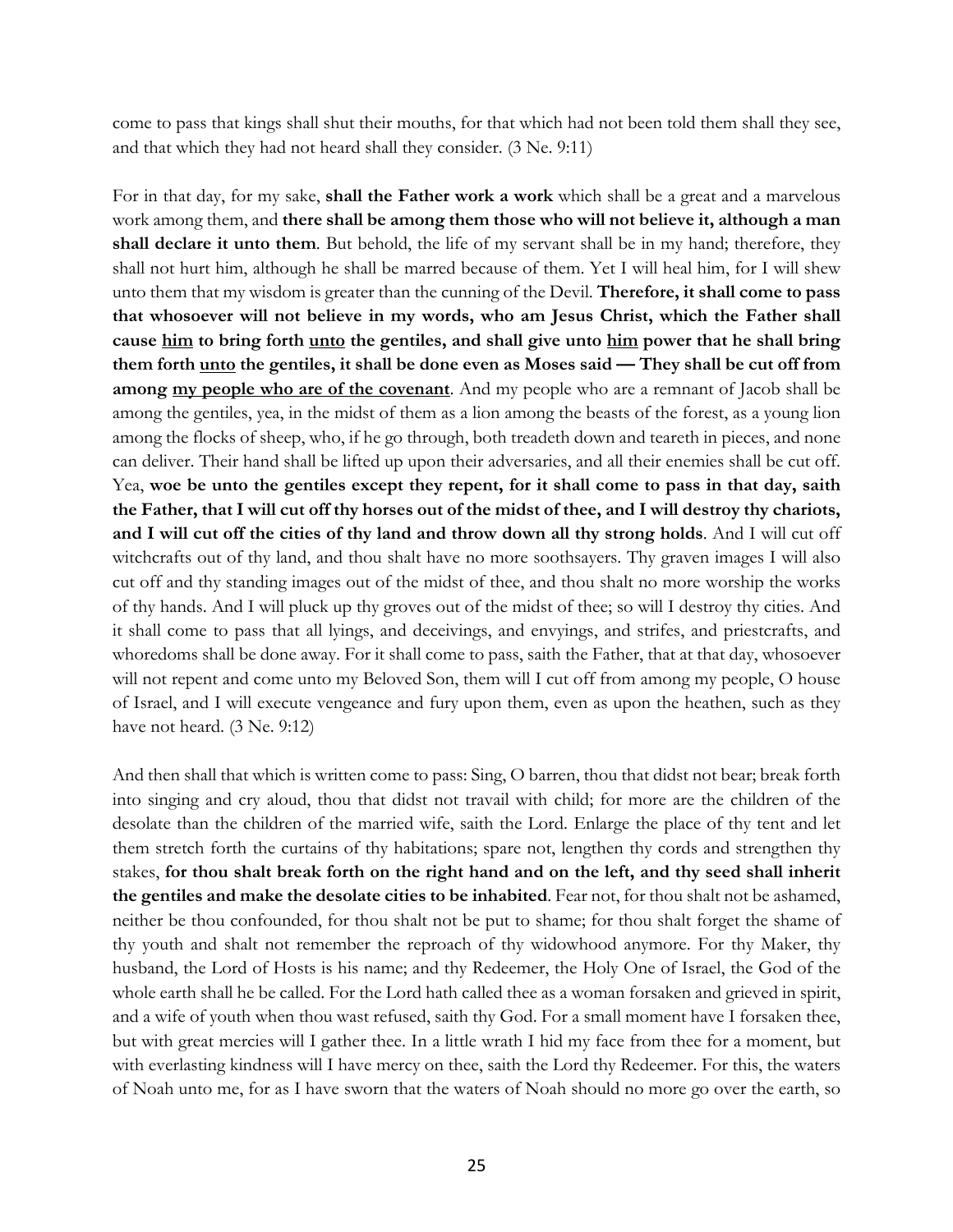come to pass that kings shall shut their mouths, for that which had not been told them shall they see, and that which they had not heard shall they consider. (3 Ne. 9:11)

For in that day, for my sake, **shall the Father work a work** which shall be a great and a marvelous work among them, and **there shall be among them those who will not believe it, although a man shall declare it unto them**. But behold, the life of my servant shall be in my hand; therefore, they shall not hurt him, although he shall be marred because of them. Yet I will heal him, for I will shew unto them that my wisdom is greater than the cunning of the Devil. **Therefore, it shall come to pass that whosoever will not believe in my words, who am Jesus Christ, which the Father shall cause him to bring forth unto the gentiles, and shall give unto him power that he shall bring them forth unto the gentiles, it shall be done even as Moses said — They shall be cut off from among my people who are of the covenant**. And my people who are a remnant of Jacob shall be among the gentiles, yea, in the midst of them as a lion among the beasts of the forest, as a young lion among the flocks of sheep, who, if he go through, both treadeth down and teareth in pieces, and none can deliver. Their hand shall be lifted up upon their adversaries, and all their enemies shall be cut off. Yea, **woe be unto the gentiles except they repent, for it shall come to pass in that day, saith the Father, that I will cut off thy horses out of the midst of thee, and I will destroy thy chariots, and I will cut off the cities of thy land and throw down all thy strong holds**. And I will cut off witchcrafts out of thy land, and thou shalt have no more soothsayers. Thy graven images I will also cut off and thy standing images out of the midst of thee, and thou shalt no more worship the works of thy hands. And I will pluck up thy groves out of the midst of thee; so will I destroy thy cities. And it shall come to pass that all lyings, and deceivings, and envyings, and strifes, and priestcrafts, and whoredoms shall be done away. For it shall come to pass, saith the Father, that at that day, whosoever will not repent and come unto my Beloved Son, them will I cut off from among my people, O house of Israel, and I will execute vengeance and fury upon them, even as upon the heathen, such as they have not heard. (3 Ne. 9:12)

And then shall that which is written come to pass: Sing, O barren, thou that didst not bear; break forth into singing and cry aloud, thou that didst not travail with child; for more are the children of the desolate than the children of the married wife, saith the Lord. Enlarge the place of thy tent and let them stretch forth the curtains of thy habitations; spare not, lengthen thy cords and strengthen thy stakes, **for thou shalt break forth on the right hand and on the left, and thy seed shall inherit the gentiles and make the desolate cities to be inhabited**. Fear not, for thou shalt not be ashamed, neither be thou confounded, for thou shalt not be put to shame; for thou shalt forget the shame of thy youth and shalt not remember the reproach of thy widowhood anymore. For thy Maker, thy husband, the Lord of Hosts is his name; and thy Redeemer, the Holy One of Israel, the God of the whole earth shall he be called. For the Lord hath called thee as a woman forsaken and grieved in spirit, and a wife of youth when thou wast refused, saith thy God. For a small moment have I forsaken thee, but with great mercies will I gather thee. In a little wrath I hid my face from thee for a moment, but with everlasting kindness will I have mercy on thee, saith the Lord thy Redeemer. For this, the waters of Noah unto me, for as I have sworn that the waters of Noah should no more go over the earth, so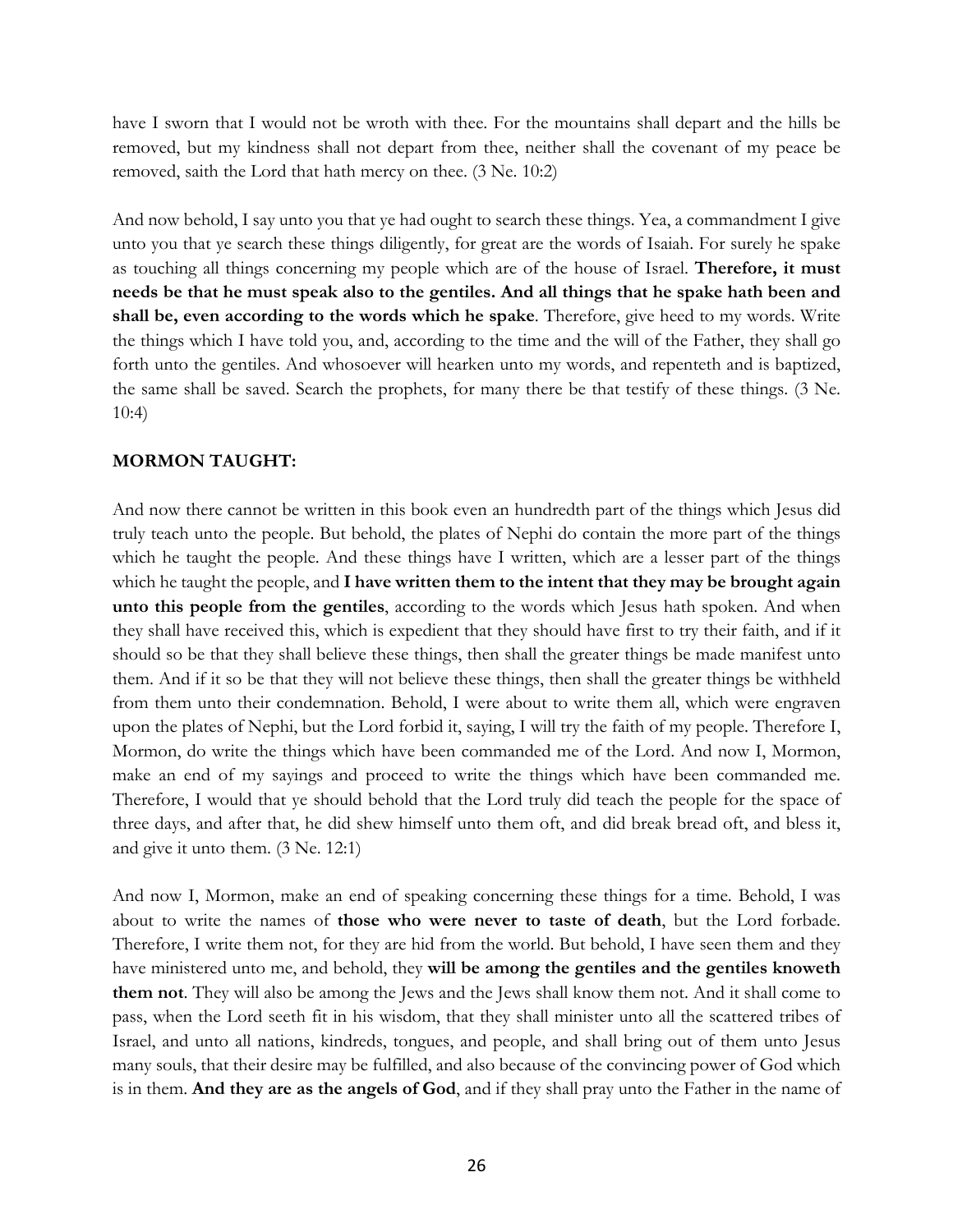have I sworn that I would not be wroth with thee. For the mountains shall depart and the hills be removed, but my kindness shall not depart from thee, neither shall the covenant of my peace be removed, saith the Lord that hath mercy on thee. (3 Ne. 10:2)

And now behold, I say unto you that ye had ought to search these things. Yea, a commandment I give unto you that ye search these things diligently, for great are the words of Isaiah. For surely he spake as touching all things concerning my people which are of the house of Israel. **Therefore, it must needs be that he must speak also to the gentiles. And all things that he spake hath been and shall be, even according to the words which he spake**. Therefore, give heed to my words. Write the things which I have told you, and, according to the time and the will of the Father, they shall go forth unto the gentiles. And whosoever will hearken unto my words, and repenteth and is baptized, the same shall be saved. Search the prophets, for many there be that testify of these things. (3 Ne. 10:4)

## **MORMON TAUGHT:**

And now there cannot be written in this book even an hundredth part of the things which Jesus did truly teach unto the people. But behold, the plates of Nephi do contain the more part of the things which he taught the people. And these things have I written, which are a lesser part of the things which he taught the people, and **I have written them to the intent that they may be brought again unto this people from the gentiles**, according to the words which Jesus hath spoken. And when they shall have received this, which is expedient that they should have first to try their faith, and if it should so be that they shall believe these things, then shall the greater things be made manifest unto them. And if it so be that they will not believe these things, then shall the greater things be withheld from them unto their condemnation. Behold, I were about to write them all, which were engraven upon the plates of Nephi, but the Lord forbid it, saying, I will try the faith of my people. Therefore I, Mormon, do write the things which have been commanded me of the Lord. And now I, Mormon, make an end of my sayings and proceed to write the things which have been commanded me. Therefore, I would that ye should behold that the Lord truly did teach the people for the space of three days, and after that, he did shew himself unto them oft, and did break bread oft, and bless it, and give it unto them. (3 Ne. 12:1)

And now I, Mormon, make an end of speaking concerning these things for a time. Behold, I was about to write the names of **those who were never to taste of death**, but the Lord forbade. Therefore, I write them not, for they are hid from the world. But behold, I have seen them and they have ministered unto me, and behold, they **will be among the gentiles and the gentiles knoweth them not**. They will also be among the Jews and the Jews shall know them not. And it shall come to pass, when the Lord seeth fit in his wisdom, that they shall minister unto all the scattered tribes of Israel, and unto all nations, kindreds, tongues, and people, and shall bring out of them unto Jesus many souls, that their desire may be fulfilled, and also because of the convincing power of God which is in them. **And they are as the angels of God**, and if they shall pray unto the Father in the name of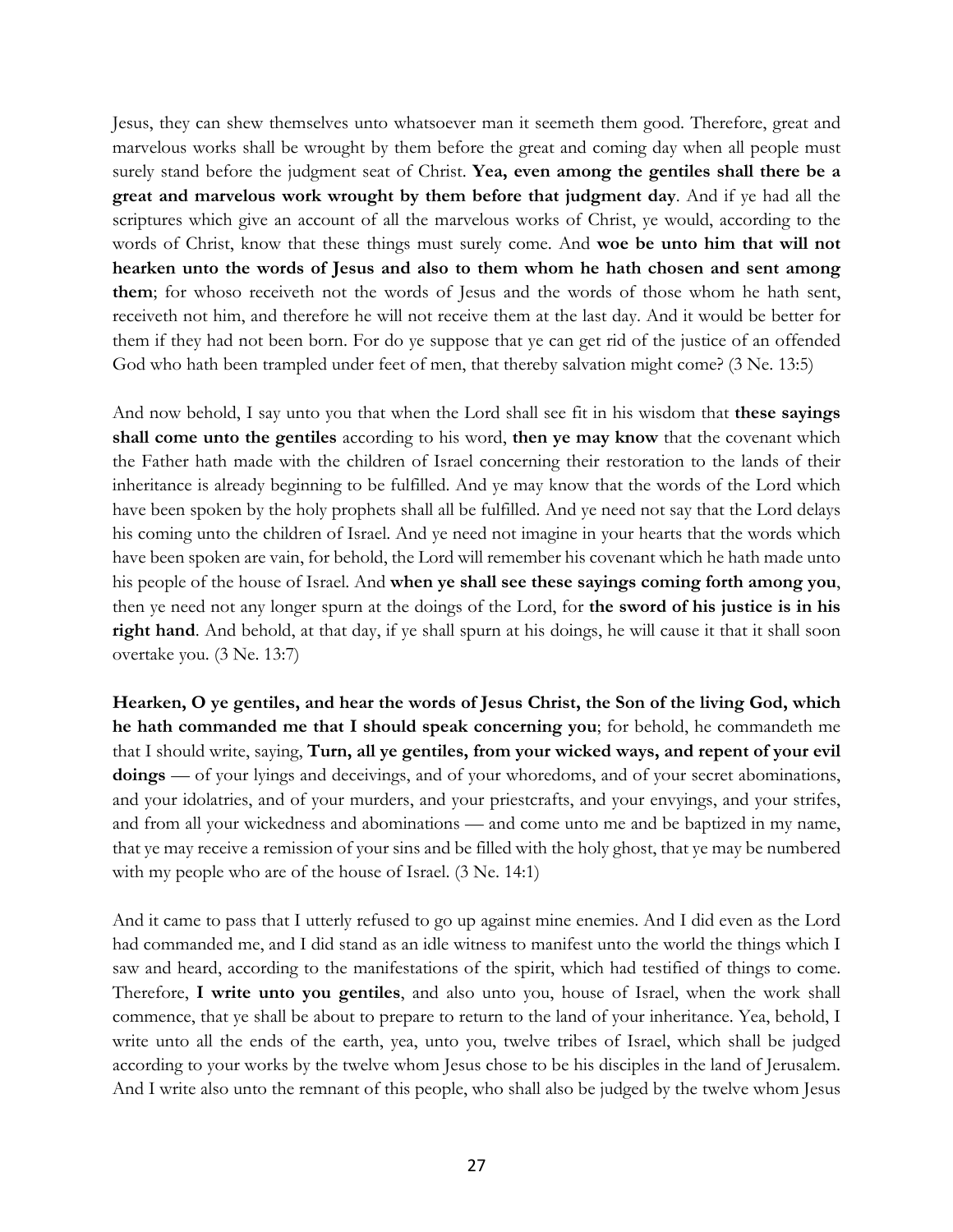Jesus, they can shew themselves unto whatsoever man it seemeth them good. Therefore, great and marvelous works shall be wrought by them before the great and coming day when all people must surely stand before the judgment seat of Christ. **Yea, even among the gentiles shall there be a great and marvelous work wrought by them before that judgment day**. And if ye had all the scriptures which give an account of all the marvelous works of Christ, ye would, according to the words of Christ, know that these things must surely come. And **woe be unto him that will not hearken unto the words of Jesus and also to them whom he hath chosen and sent among them**; for whoso receiveth not the words of Jesus and the words of those whom he hath sent, receiveth not him, and therefore he will not receive them at the last day. And it would be better for them if they had not been born. For do ye suppose that ye can get rid of the justice of an offended God who hath been trampled under feet of men, that thereby salvation might come? (3 Ne. 13:5)

And now behold, I say unto you that when the Lord shall see fit in his wisdom that **these sayings shall come unto the gentiles** according to his word, **then ye may know** that the covenant which the Father hath made with the children of Israel concerning their restoration to the lands of their inheritance is already beginning to be fulfilled. And ye may know that the words of the Lord which have been spoken by the holy prophets shall all be fulfilled. And ye need not say that the Lord delays his coming unto the children of Israel. And ye need not imagine in your hearts that the words which have been spoken are vain, for behold, the Lord will remember his covenant which he hath made unto his people of the house of Israel. And **when ye shall see these sayings coming forth among you**, then ye need not any longer spurn at the doings of the Lord, for **the sword of his justice is in his right hand**. And behold, at that day, if ye shall spurn at his doings, he will cause it that it shall soon overtake you. (3 Ne. 13:7)

**Hearken, O ye gentiles, and hear the words of Jesus Christ, the Son of the living God, which he hath commanded me that I should speak concerning you**; for behold, he commandeth me that I should write, saying, **Turn, all ye gentiles, from your wicked ways, and repent of your evil doings** — of your lyings and deceivings, and of your whoredoms, and of your secret abominations, and your idolatries, and of your murders, and your priestcrafts, and your envyings, and your strifes, and from all your wickedness and abominations — and come unto me and be baptized in my name, that ye may receive a remission of your sins and be filled with the holy ghost, that ye may be numbered with my people who are of the house of Israel. (3 Ne. 14:1)

And it came to pass that I utterly refused to go up against mine enemies. And I did even as the Lord had commanded me, and I did stand as an idle witness to manifest unto the world the things which I saw and heard, according to the manifestations of the spirit, which had testified of things to come. Therefore, **I write unto you gentiles**, and also unto you, house of Israel, when the work shall commence, that ye shall be about to prepare to return to the land of your inheritance. Yea, behold, I write unto all the ends of the earth, yea, unto you, twelve tribes of Israel, which shall be judged according to your works by the twelve whom Jesus chose to be his disciples in the land of Jerusalem. And I write also unto the remnant of this people, who shall also be judged by the twelve whom Jesus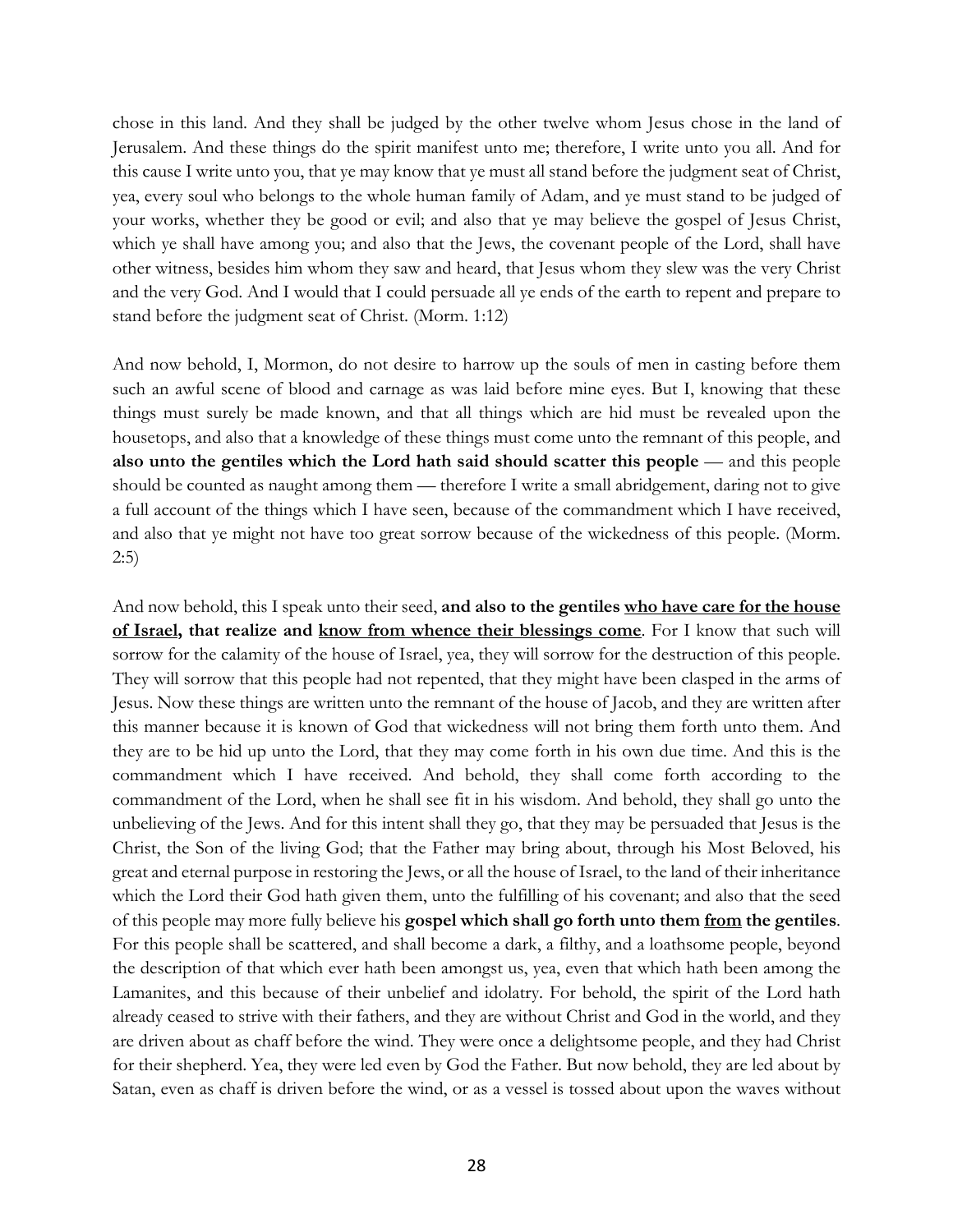chose in this land. And they shall be judged by the other twelve whom Jesus chose in the land of Jerusalem. And these things do the spirit manifest unto me; therefore, I write unto you all. And for this cause I write unto you, that ye may know that ye must all stand before the judgment seat of Christ, yea, every soul who belongs to the whole human family of Adam, and ye must stand to be judged of your works, whether they be good or evil; and also that ye may believe the gospel of Jesus Christ, which ye shall have among you; and also that the Jews, the covenant people of the Lord, shall have other witness, besides him whom they saw and heard, that Jesus whom they slew was the very Christ and the very God. And I would that I could persuade all ye ends of the earth to repent and prepare to stand before the judgment seat of Christ. (Morm. 1:12)

And now behold, I, Mormon, do not desire to harrow up the souls of men in casting before them such an awful scene of blood and carnage as was laid before mine eyes. But I, knowing that these things must surely be made known, and that all things which are hid must be revealed upon the housetops, and also that a knowledge of these things must come unto the remnant of this people, and **also unto the gentiles which the Lord hath said should scatter this people** — and this people should be counted as naught among them — therefore I write a small abridgement, daring not to give a full account of the things which I have seen, because of the commandment which I have received, and also that ye might not have too great sorrow because of the wickedness of this people. (Morm. 2:5)

And now behold, this I speak unto their seed, **and also to the gentiles who have care for the house of Israel, that realize and know from whence their blessings come**. For I know that such will sorrow for the calamity of the house of Israel, yea, they will sorrow for the destruction of this people. They will sorrow that this people had not repented, that they might have been clasped in the arms of Jesus. Now these things are written unto the remnant of the house of Jacob, and they are written after this manner because it is known of God that wickedness will not bring them forth unto them. And they are to be hid up unto the Lord, that they may come forth in his own due time. And this is the commandment which I have received. And behold, they shall come forth according to the commandment of the Lord, when he shall see fit in his wisdom. And behold, they shall go unto the unbelieving of the Jews. And for this intent shall they go, that they may be persuaded that Jesus is the Christ, the Son of the living God; that the Father may bring about, through his Most Beloved, his great and eternal purpose in restoring the Jews, or all the house of Israel, to the land of their inheritance which the Lord their God hath given them, unto the fulfilling of his covenant; and also that the seed of this people may more fully believe his **gospel which shall go forth unto them from the gentiles**. For this people shall be scattered, and shall become a dark, a filthy, and a loathsome people, beyond the description of that which ever hath been amongst us, yea, even that which hath been among the Lamanites, and this because of their unbelief and idolatry. For behold, the spirit of the Lord hath already ceased to strive with their fathers, and they are without Christ and God in the world, and they are driven about as chaff before the wind. They were once a delightsome people, and they had Christ for their shepherd. Yea, they were led even by God the Father. But now behold, they are led about by Satan, even as chaff is driven before the wind, or as a vessel is tossed about upon the waves without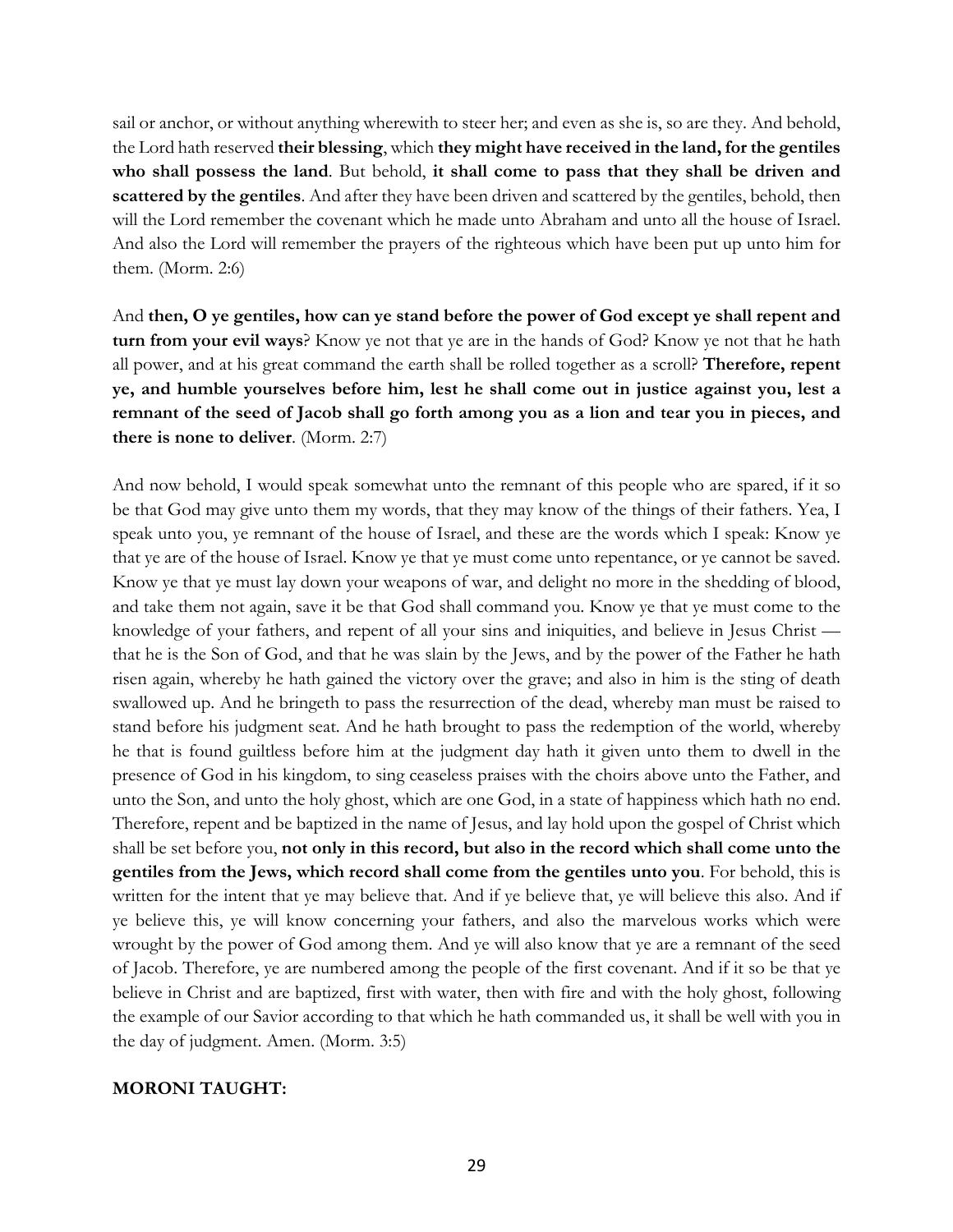sail or anchor, or without anything wherewith to steer her; and even as she is, so are they. And behold, the Lord hath reserved **their blessing**, which **they might have received in the land, for the gentiles who shall possess the land**. But behold, **it shall come to pass that they shall be driven and scattered by the gentiles**. And after they have been driven and scattered by the gentiles, behold, then will the Lord remember the covenant which he made unto Abraham and unto all the house of Israel. And also the Lord will remember the prayers of the righteous which have been put up unto him for them. (Morm. 2:6)

And **then, O ye gentiles, how can ye stand before the power of God except ye shall repent and turn from your evil ways**? Know ye not that ye are in the hands of God? Know ye not that he hath all power, and at his great command the earth shall be rolled together as a scroll? **Therefore, repent ye, and humble yourselves before him, lest he shall come out in justice against you, lest a remnant of the seed of Jacob shall go forth among you as a lion and tear you in pieces, and there is none to deliver**. (Morm. 2:7)

And now behold, I would speak somewhat unto the remnant of this people who are spared, if it so be that God may give unto them my words, that they may know of the things of their fathers. Yea, I speak unto you, ye remnant of the house of Israel, and these are the words which I speak: Know ye that ye are of the house of Israel. Know ye that ye must come unto repentance, or ye cannot be saved. Know ye that ye must lay down your weapons of war, and delight no more in the shedding of blood, and take them not again, save it be that God shall command you. Know ye that ye must come to the knowledge of your fathers, and repent of all your sins and iniquities, and believe in Jesus Christ that he is the Son of God, and that he was slain by the Jews, and by the power of the Father he hath risen again, whereby he hath gained the victory over the grave; and also in him is the sting of death swallowed up. And he bringeth to pass the resurrection of the dead, whereby man must be raised to stand before his judgment seat. And he hath brought to pass the redemption of the world, whereby he that is found guiltless before him at the judgment day hath it given unto them to dwell in the presence of God in his kingdom, to sing ceaseless praises with the choirs above unto the Father, and unto the Son, and unto the holy ghost, which are one God, in a state of happiness which hath no end. Therefore, repent and be baptized in the name of Jesus, and lay hold upon the gospel of Christ which shall be set before you, **not only in this record, but also in the record which shall come unto the gentiles from the Jews, which record shall come from the gentiles unto you**. For behold, this is written for the intent that ye may believe that. And if ye believe that, ye will believe this also. And if ye believe this, ye will know concerning your fathers, and also the marvelous works which were wrought by the power of God among them. And ye will also know that ye are a remnant of the seed of Jacob. Therefore, ye are numbered among the people of the first covenant. And if it so be that ye believe in Christ and are baptized, first with water, then with fire and with the holy ghost, following the example of our Savior according to that which he hath commanded us, it shall be well with you in the day of judgment. Amen. (Morm. 3:5)

## **MORONI TAUGHT:**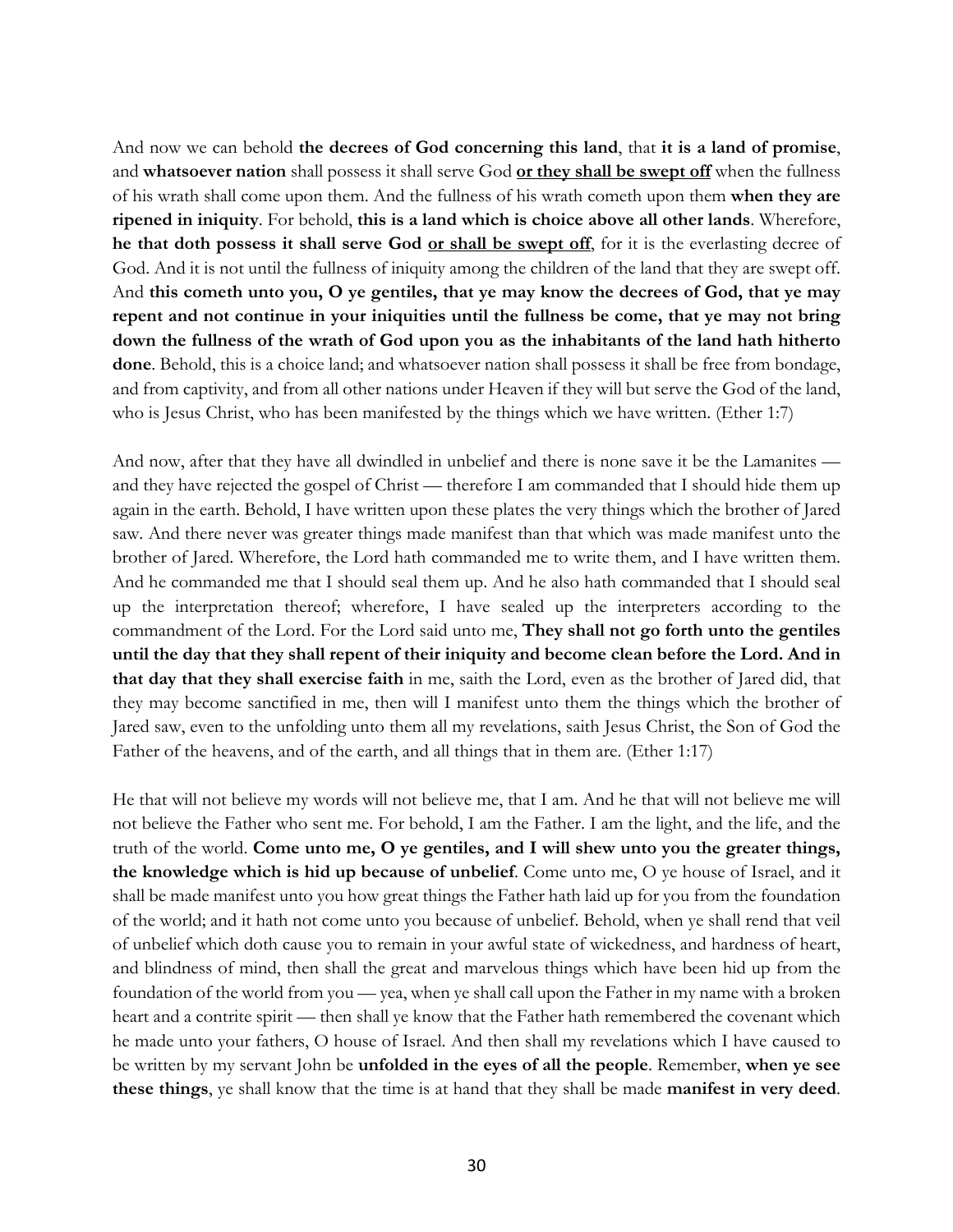And now we can behold **the decrees of God concerning this land**, that **it is a land of promise**, and **whatsoever nation** shall possess it shall serve God **or they shall be swept off** when the fullness of his wrath shall come upon them. And the fullness of his wrath cometh upon them **when they are ripened in iniquity**. For behold, **this is a land which is choice above all other lands**. Wherefore, **he that doth possess it shall serve God or shall be swept off**, for it is the everlasting decree of God. And it is not until the fullness of iniquity among the children of the land that they are swept off. And **this cometh unto you, O ye gentiles, that ye may know the decrees of God, that ye may repent and not continue in your iniquities until the fullness be come, that ye may not bring down the fullness of the wrath of God upon you as the inhabitants of the land hath hitherto done**. Behold, this is a choice land; and whatsoever nation shall possess it shall be free from bondage, and from captivity, and from all other nations under Heaven if they will but serve the God of the land, who is Jesus Christ, who has been manifested by the things which we have written. (Ether 1:7)

And now, after that they have all dwindled in unbelief and there is none save it be the Lamanites and they have rejected the gospel of Christ — therefore I am commanded that I should hide them up again in the earth. Behold, I have written upon these plates the very things which the brother of Jared saw. And there never was greater things made manifest than that which was made manifest unto the brother of Jared. Wherefore, the Lord hath commanded me to write them, and I have written them. And he commanded me that I should seal them up. And he also hath commanded that I should seal up the interpretation thereof; wherefore, I have sealed up the interpreters according to the commandment of the Lord. For the Lord said unto me, **They shall not go forth unto the gentiles until the day that they shall repent of their iniquity and become clean before the Lord. And in that day that they shall exercise faith** in me, saith the Lord, even as the brother of Jared did, that they may become sanctified in me, then will I manifest unto them the things which the brother of Jared saw, even to the unfolding unto them all my revelations, saith Jesus Christ, the Son of God the Father of the heavens, and of the earth, and all things that in them are. (Ether 1:17)

He that will not believe my words will not believe me, that I am. And he that will not believe me will not believe the Father who sent me. For behold, I am the Father. I am the light, and the life, and the truth of the world. **Come unto me, O ye gentiles, and I will shew unto you the greater things, the knowledge which is hid up because of unbelief**. Come unto me, O ye house of Israel, and it shall be made manifest unto you how great things the Father hath laid up for you from the foundation of the world; and it hath not come unto you because of unbelief. Behold, when ye shall rend that veil of unbelief which doth cause you to remain in your awful state of wickedness, and hardness of heart, and blindness of mind, then shall the great and marvelous things which have been hid up from the foundation of the world from you — yea, when ye shall call upon the Father in my name with a broken heart and a contrite spirit — then shall ye know that the Father hath remembered the covenant which he made unto your fathers, O house of Israel. And then shall my revelations which I have caused to be written by my servant John be **unfolded in the eyes of all the people**. Remember, **when ye see these things**, ye shall know that the time is at hand that they shall be made **manifest in very deed**.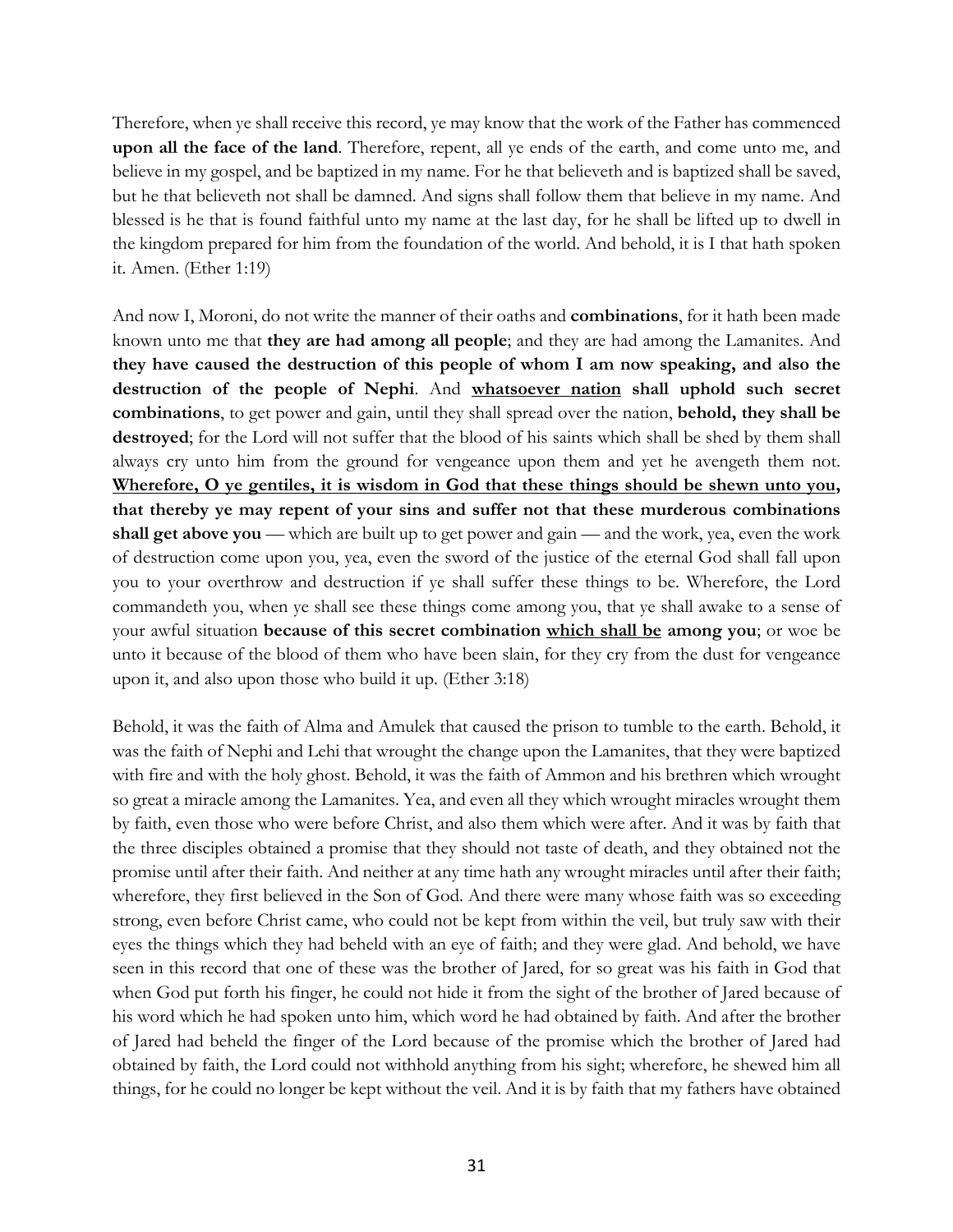Therefore, when ye shall receive this record, ye may know that the work of the Father has commenced **upon all the face of the land**. Therefore, repent, all ye ends of the earth, and come unto me, and believe in my gospel, and be baptized in my name. For he that believeth and is baptized shall be saved, but he that believeth not shall be damned. And signs shall follow them that believe in my name. And blessed is he that is found faithful unto my name at the last day, for he shall be lifted up to dwell in the kingdom prepared for him from the foundation of the world. And behold, it is I that hath spoken it. Amen. (Ether 1:19)

And now I, Moroni, do not write the manner of their oaths and **combinations**, for it hath been made known unto me that **they are had among all people**; and they are had among the Lamanites. And **they have caused the destruction of this people of whom I am now speaking, and also the destruction of the people of Nephi**. And **whatsoever nation shall uphold such secret combinations**, to get power and gain, until they shall spread over the nation, **behold, they shall be destroyed**; for the Lord will not suffer that the blood of his saints which shall be shed by them shall always cry unto him from the ground for vengeance upon them and yet he avengeth them not. **Wherefore, O ye gentiles, it is wisdom in God that these things should be shewn unto you, that thereby ye may repent of your sins and suffer not that these murderous combinations shall get above you** — which are built up to get power and gain — and the work, yea, even the work of destruction come upon you, yea, even the sword of the justice of the eternal God shall fall upon you to your overthrow and destruction if ye shall suffer these things to be. Wherefore, the Lord commandeth you, when ye shall see these things come among you, that ye shall awake to a sense of your awful situation **because of this secret combination which shall be among you**; or woe be unto it because of the blood of them who have been slain, for they cry from the dust for vengeance upon it, and also upon those who build it up. (Ether 3:18)

Behold, it was the faith of Alma and Amulek that caused the prison to tumble to the earth. Behold, it was the faith of Nephi and Lehi that wrought the change upon the Lamanites, that they were baptized with fire and with the holy ghost. Behold, it was the faith of Ammon and his brethren which wrought so great a miracle among the Lamanites. Yea, and even all they which wrought miracles wrought them by faith, even those who were before Christ, and also them which were after. And it was by faith that the three disciples obtained a promise that they should not taste of death, and they obtained not the promise until after their faith. And neither at any time hath any wrought miracles until after their faith; wherefore, they first believed in the Son of God. And there were many whose faith was so exceeding strong, even before Christ came, who could not be kept from within the veil, but truly saw with their eyes the things which they had beheld with an eye of faith; and they were glad. And behold, we have seen in this record that one of these was the brother of Jared, for so great was his faith in God that when God put forth his finger, he could not hide it from the sight of the brother of Jared because of his word which he had spoken unto him, which word he had obtained by faith. And after the brother of Jared had beheld the finger of the Lord because of the promise which the brother of Jared had obtained by faith, the Lord could not withhold anything from his sight; wherefore, he shewed him all things, for he could no longer be kept without the veil. And it is by faith that my fathers have obtained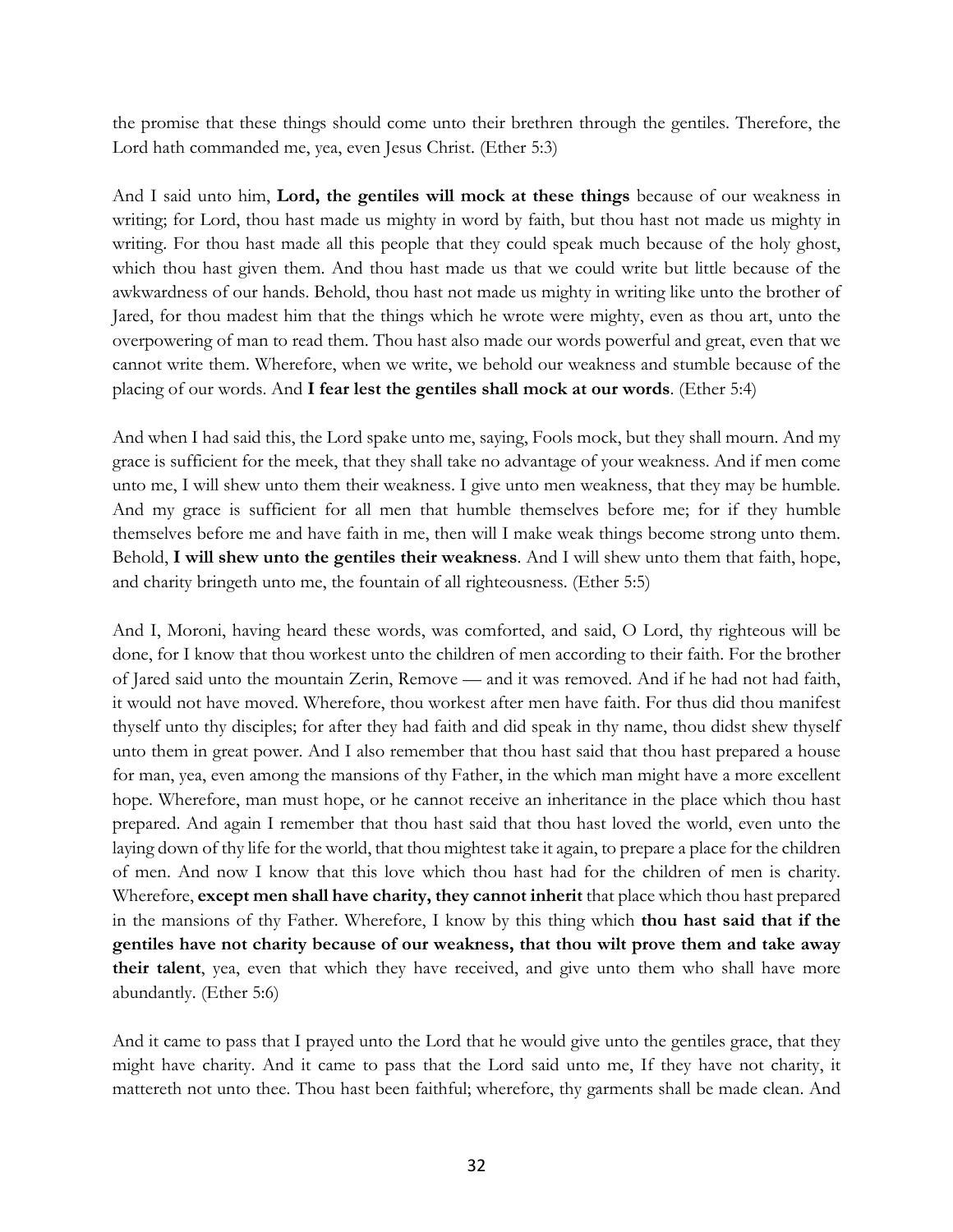the promise that these things should come unto their brethren through the gentiles. Therefore, the Lord hath commanded me, yea, even Jesus Christ. (Ether 5:3)

And I said unto him, **Lord, the gentiles will mock at these things** because of our weakness in writing; for Lord, thou hast made us mighty in word by faith, but thou hast not made us mighty in writing. For thou hast made all this people that they could speak much because of the holy ghost, which thou hast given them. And thou hast made us that we could write but little because of the awkwardness of our hands. Behold, thou hast not made us mighty in writing like unto the brother of Jared, for thou madest him that the things which he wrote were mighty, even as thou art, unto the overpowering of man to read them. Thou hast also made our words powerful and great, even that we cannot write them. Wherefore, when we write, we behold our weakness and stumble because of the placing of our words. And **I fear lest the gentiles shall mock at our words**. (Ether 5:4)

And when I had said this, the Lord spake unto me, saying, Fools mock, but they shall mourn. And my grace is sufficient for the meek, that they shall take no advantage of your weakness. And if men come unto me, I will shew unto them their weakness. I give unto men weakness, that they may be humble. And my grace is sufficient for all men that humble themselves before me; for if they humble themselves before me and have faith in me, then will I make weak things become strong unto them. Behold, **I will shew unto the gentiles their weakness**. And I will shew unto them that faith, hope, and charity bringeth unto me, the fountain of all righteousness. (Ether 5:5)

And I, Moroni, having heard these words, was comforted, and said, O Lord, thy righteous will be done, for I know that thou workest unto the children of men according to their faith. For the brother of Jared said unto the mountain Zerin, Remove — and it was removed. And if he had not had faith, it would not have moved. Wherefore, thou workest after men have faith. For thus did thou manifest thyself unto thy disciples; for after they had faith and did speak in thy name, thou didst shew thyself unto them in great power. And I also remember that thou hast said that thou hast prepared a house for man, yea, even among the mansions of thy Father, in the which man might have a more excellent hope. Wherefore, man must hope, or he cannot receive an inheritance in the place which thou hast prepared. And again I remember that thou hast said that thou hast loved the world, even unto the laying down of thy life for the world, that thou mightest take it again, to prepare a place for the children of men. And now I know that this love which thou hast had for the children of men is charity. Wherefore, **except men shall have charity, they cannot inherit** that place which thou hast prepared in the mansions of thy Father. Wherefore, I know by this thing which **thou hast said that if the gentiles have not charity because of our weakness, that thou wilt prove them and take away their talent**, yea, even that which they have received, and give unto them who shall have more abundantly. (Ether 5:6)

And it came to pass that I prayed unto the Lord that he would give unto the gentiles grace, that they might have charity. And it came to pass that the Lord said unto me, If they have not charity, it mattereth not unto thee. Thou hast been faithful; wherefore, thy garments shall be made clean. And